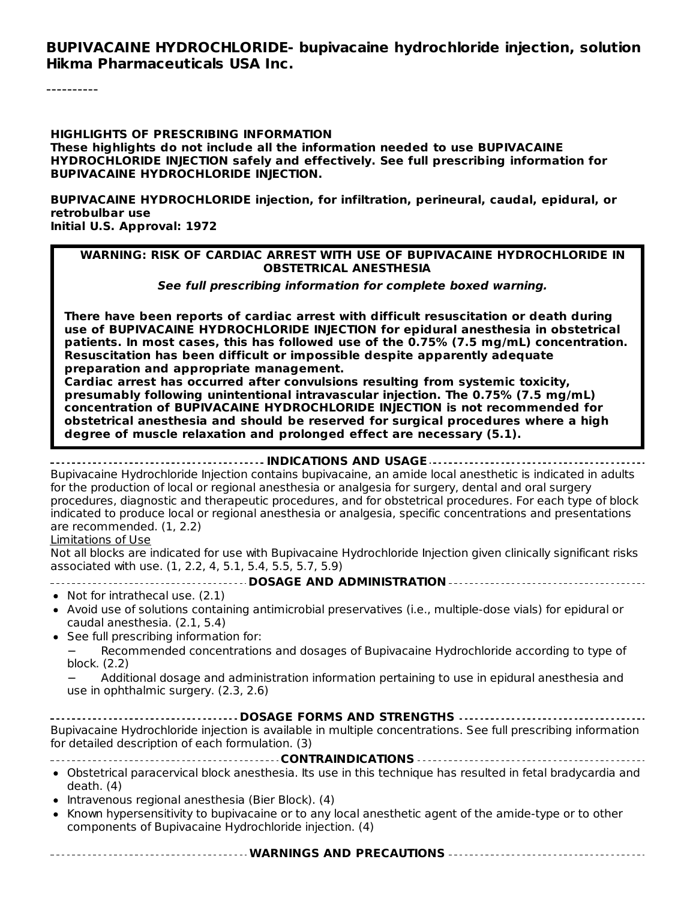#### **BUPIVACAINE HYDROCHLORIDE- bupivacaine hydrochloride injection, solution Hikma Pharmaceuticals USA Inc.**

----------

**HIGHLIGHTS OF PRESCRIBING INFORMATION These highlights do not include all the information needed to use BUPIVACAINE HYDROCHLORIDE INJECTION safely and effectively. See full prescribing information for BUPIVACAINE HYDROCHLORIDE INJECTION.**

**BUPIVACAINE HYDROCHLORIDE injection, for infiltration, perineural, caudal, epidural, or retrobulbar use Initial U.S. Approval: 1972**

#### **WARNING: RISK OF CARDIAC ARREST WITH USE OF BUPIVACAINE HYDROCHLORIDE IN OBSTETRICAL ANESTHESIA**

**See full prescribing information for complete boxed warning.**

**There have been reports of cardiac arrest with difficult resuscitation or death during use of BUPIVACAINE HYDROCHLORIDE INJECTION for epidural anesthesia in obstetrical patients. In most cases, this has followed use of the 0.75% (7.5 mg/mL) concentration. Resuscitation has been difficult or impossible despite apparently adequate preparation and appropriate management.**

**Cardiac arrest has occurred after convulsions resulting from systemic toxicity, presumably following unintentional intravascular injection. The 0.75% (7.5 mg/mL) concentration of BUPIVACAINE HYDROCHLORIDE INJECTION is not recommended for obstetrical anesthesia and should be reserved for surgical procedures where a high degree of muscle relaxation and prolonged effect are necessary (5.1).**

#### **INDICATIONS AND USAGE**

Bupivacaine Hydrochloride Injection contains bupivacaine, an amide local anesthetic is indicated in adults for the production of local or regional anesthesia or analgesia for surgery, dental and oral surgery procedures, diagnostic and therapeutic procedures, and for obstetrical procedures. For each type of block indicated to produce local or regional anesthesia or analgesia, specific concentrations and presentations are recommended. (1, 2.2)

#### Limitations of Use

Not all blocks are indicated for use with Bupivacaine Hydrochloride Injection given clinically significant risks associated with use. (1, 2.2, 4, 5.1, 5.4, 5.5, 5.7, 5.9)

**DOSAGE AND ADMINISTRATION**

- Not for intrathecal use. (2.1)
- Avoid use of solutions containing antimicrobial preservatives (i.e., multiple-dose vials) for epidural or caudal anesthesia. (2.1, 5.4)
- See full prescribing information for:

− Recommended concentrations and dosages of Bupivacaine Hydrochloride according to type of block. (2.2)

− Additional dosage and administration information pertaining to use in epidural anesthesia and use in ophthalmic surgery. (2.3, 2.6)

| Bupivacaine Hydrochloride injection is available in multiple concentrations. See full prescribing information<br>for detailed description of each formulation. (3) |  |  |  |  |  |
|--------------------------------------------------------------------------------------------------------------------------------------------------------------------|--|--|--|--|--|
|                                                                                                                                                                    |  |  |  |  |  |
| • Obstetrical paracervical block anesthesia. Its use in this technique has resulted in fetal bradycardia and<br>death. (4)                                         |  |  |  |  |  |
|                                                                                                                                                                    |  |  |  |  |  |

- Intravenous regional anesthesia (Bier Block). (4)
- Known hypersensitivity to bupivacaine or to any local anesthetic agent of the amide-type or to other components of Bupivacaine Hydrochloride injection. (4)
- **WARNINGS AND PRECAUTIONS**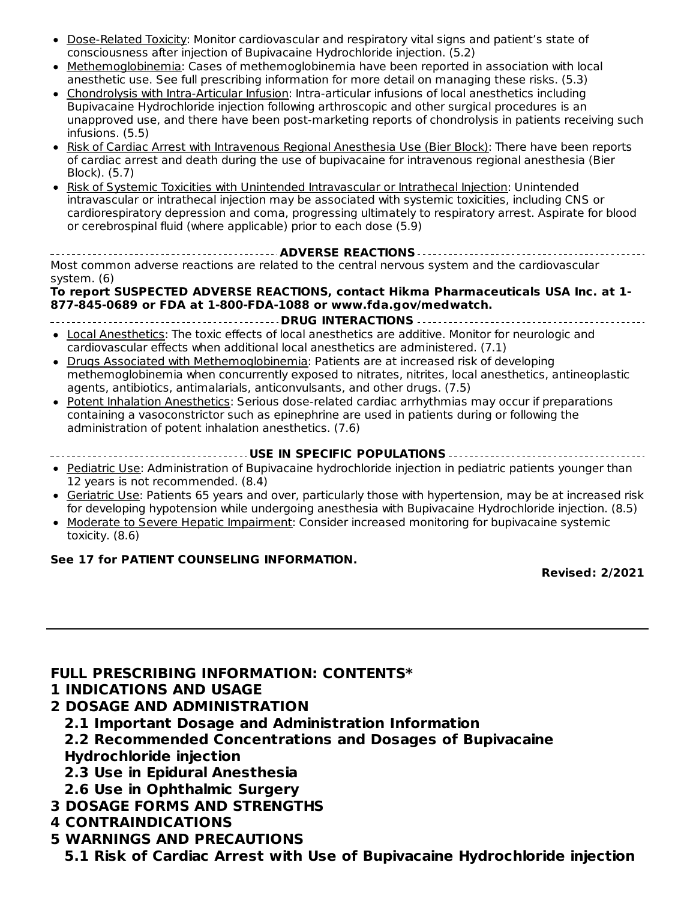- Dose-Related Toxicity: Monitor cardiovascular and respiratory vital signs and patient's state of consciousness after injection of Bupivacaine Hydrochloride injection. (5.2)
- Methemoglobinemia: Cases of methemoglobinemia have been reported in association with local anesthetic use. See full prescribing information for more detail on managing these risks. (5.3)
- Chondrolysis with Intra-Articular Infusion: Intra-articular infusions of local anesthetics including  $\bullet$ Bupivacaine Hydrochloride injection following arthroscopic and other surgical procedures is an unapproved use, and there have been post-marketing reports of chondrolysis in patients receiving such infusions. (5.5)
- Risk of Cardiac Arrest with Intravenous Regional Anesthesia Use (Bier Block): There have been reports of cardiac arrest and death during the use of bupivacaine for intravenous regional anesthesia (Bier Block). (5.7)
- Risk of Systemic Toxicities with Unintended Intravascular or Intrathecal Injection: Unintended intravascular or intrathecal injection may be associated with systemic toxicities, including CNS or cardiorespiratory depression and coma, progressing ultimately to respiratory arrest. Aspirate for blood or cerebrospinal fluid (where applicable) prior to each dose (5.9)

**ADVERSE REACTIONS** Most common adverse reactions are related to the central nervous system and the cardiovascular system. (6)

#### **To report SUSPECTED ADVERSE REACTIONS, contact Hikma Pharmaceuticals USA Inc. at 1- 877-845-0689 or FDA at 1-800-FDA-1088 or www.fda.gov/medwatch.**

- **DRUG INTERACTIONS** Local Anesthetics: The toxic effects of local anesthetics are additive. Monitor for neurologic and cardiovascular effects when additional local anesthetics are administered. (7.1)
- Drugs Associated with Methemoglobinemia: Patients are at increased risk of developing methemoglobinemia when concurrently exposed to nitrates, nitrites, local anesthetics, antineoplastic agents, antibiotics, antimalarials, anticonvulsants, and other drugs. (7.5)
- Potent Inhalation Anesthetics: Serious dose-related cardiac arrhythmias may occur if preparations containing a vasoconstrictor such as epinephrine are used in patients during or following the administration of potent inhalation anesthetics. (7.6)
- **USE IN SPECIFIC POPULATIONS**
- Pediatric Use: Administration of Bupivacaine hydrochloride injection in pediatric patients younger than 12 years is not recommended. (8.4)
- Geriatric Use: Patients 65 years and over, particularly those with hypertension, may be at increased risk for developing hypotension while undergoing anesthesia with Bupivacaine Hydrochloride injection. (8.5)
- Moderate to Severe Hepatic Impairment: Consider increased monitoring for bupivacaine systemic  $\bullet$ toxicity. (8.6)

#### **See 17 for PATIENT COUNSELING INFORMATION.**

**Revised: 2/2021**

### **FULL PRESCRIBING INFORMATION: CONTENTS\***

#### **1 INDICATIONS AND USAGE**

- **2 DOSAGE AND ADMINISTRATION**
	- **2.1 Important Dosage and Administration Information**
	- **2.2 Recommended Concentrations and Dosages of Bupivacaine Hydrochloride injection**
	- **2.3 Use in Epidural Anesthesia**
- **2.6 Use in Ophthalmic Surgery**
- **3 DOSAGE FORMS AND STRENGTHS**
- **4 CONTRAINDICATIONS**
- **5 WARNINGS AND PRECAUTIONS**

**5.1 Risk of Cardiac Arrest with Use of Bupivacaine Hydrochloride injection**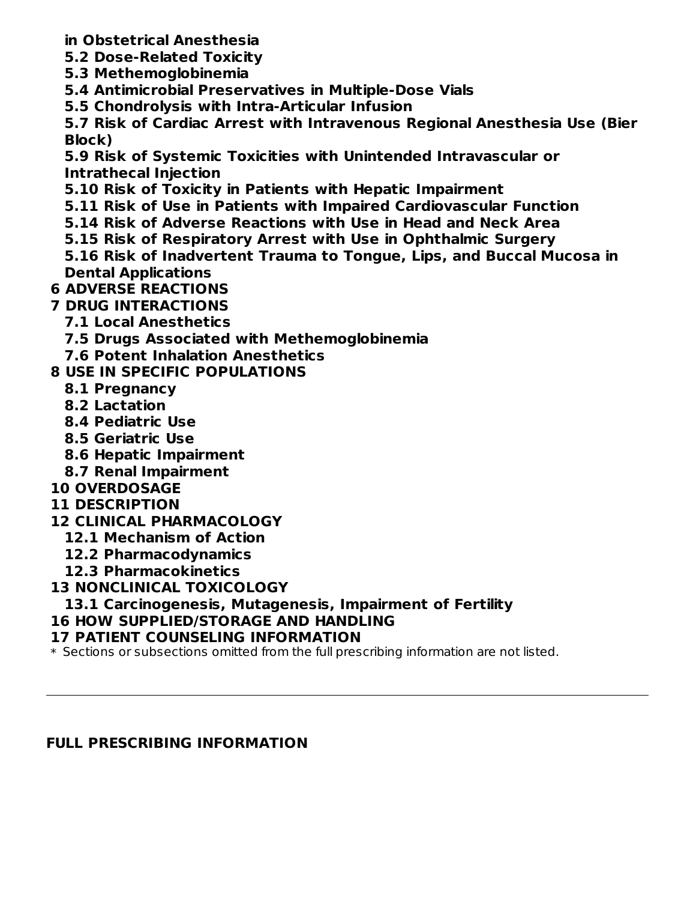- **in Obstetrical Anesthesia**
- **5.2 Dose-Related Toxicity**
- **5.3 Methemoglobinemia**
- **5.4 Antimicrobial Preservatives in Multiple-Dose Vials**
- **5.5 Chondrolysis with Intra-Articular Infusion**

**5.7 Risk of Cardiac Arrest with Intravenous Regional Anesthesia Use (Bier Block)**

**5.9 Risk of Systemic Toxicities with Unintended Intravascular or Intrathecal Injection**

- **5.10 Risk of Toxicity in Patients with Hepatic Impairment**
- **5.11 Risk of Use in Patients with Impaired Cardiovascular Function**
- **5.14 Risk of Adverse Reactions with Use in Head and Neck Area**
- **5.15 Risk of Respiratory Arrest with Use in Ophthalmic Surgery**

**5.16 Risk of Inadvertent Trauma to Tongue, Lips, and Buccal Mucosa in Dental Applications**

## **6 ADVERSE REACTIONS**

### **7 DRUG INTERACTIONS**

- **7.1 Local Anesthetics**
- **7.5 Drugs Associated with Methemoglobinemia**
- **7.6 Potent Inhalation Anesthetics**

### **8 USE IN SPECIFIC POPULATIONS**

- **8.1 Pregnancy**
- **8.2 Lactation**
- **8.4 Pediatric Use**
- **8.5 Geriatric Use**
- **8.6 Hepatic Impairment**
- **8.7 Renal Impairment**
- **10 OVERDOSAGE**
- **11 DESCRIPTION**
- **12 CLINICAL PHARMACOLOGY**
	- **12.1 Mechanism of Action**
	- **12.2 Pharmacodynamics**
	- **12.3 Pharmacokinetics**
- **13 NONCLINICAL TOXICOLOGY**

### **13.1 Carcinogenesis, Mutagenesis, Impairment of Fertility**

### **16 HOW SUPPLIED/STORAGE AND HANDLING**

### **17 PATIENT COUNSELING INFORMATION**

\* Sections or subsections omitted from the full prescribing information are not listed.

### **FULL PRESCRIBING INFORMATION**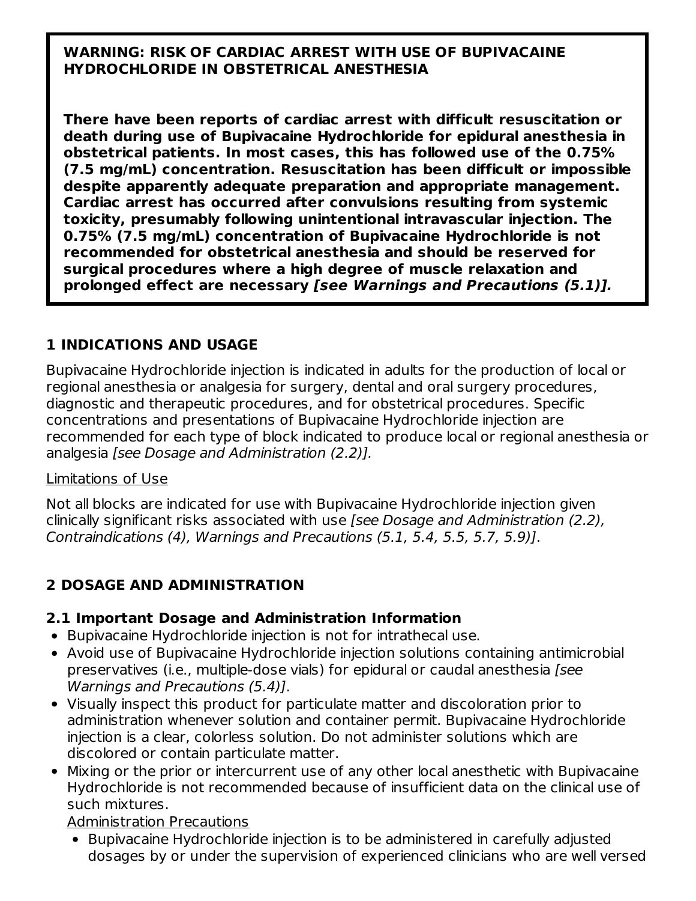#### **WARNING: RISK OF CARDIAC ARREST WITH USE OF BUPIVACAINE HYDROCHLORIDE IN OBSTETRICAL ANESTHESIA**

**There have been reports of cardiac arrest with difficult resuscitation or death during use of Bupivacaine Hydrochloride for epidural anesthesia in obstetrical patients. In most cases, this has followed use of the 0.75% (7.5 mg/mL) concentration. Resuscitation has been difficult or impossible despite apparently adequate preparation and appropriate management. Cardiac arrest has occurred after convulsions resulting from systemic toxicity, presumably following unintentional intravascular injection. The 0.75% (7.5 mg/mL) concentration of Bupivacaine Hydrochloride is not recommended for obstetrical anesthesia and should be reserved for surgical procedures where a high degree of muscle relaxation and prolonged effect are necessary [see Warnings and Precautions (5.1)].**

### **1 INDICATIONS AND USAGE**

Bupivacaine Hydrochloride injection is indicated in adults for the production of local or regional anesthesia or analgesia for surgery, dental and oral surgery procedures, diagnostic and therapeutic procedures, and for obstetrical procedures. Specific concentrations and presentations of Bupivacaine Hydrochloride injection are recommended for each type of block indicated to produce local or regional anesthesia or analgesia [see Dosage and Administration (2.2)].

#### Limitations of Use

Not all blocks are indicated for use with Bupivacaine Hydrochloride injection given clinically significant risks associated with use [see Dosage and Administration (2.2), Contraindications (4), Warnings and Precautions (5.1, 5.4, 5.5, 5.7, 5.9)].

### **2 DOSAGE AND ADMINISTRATION**

### **2.1 Important Dosage and Administration Information**

- Bupivacaine Hydrochloride injection is not for intrathecal use.
- Avoid use of Bupivacaine Hydrochloride injection solutions containing antimicrobial preservatives (i.e., multiple-dose vials) for epidural or caudal anesthesia [see Warnings and Precautions (5.4)].
- Visually inspect this product for particulate matter and discoloration prior to administration whenever solution and container permit. Bupivacaine Hydrochloride injection is a clear, colorless solution. Do not administer solutions which are discolored or contain particulate matter.
- Mixing or the prior or intercurrent use of any other local anesthetic with Bupivacaine Hydrochloride is not recommended because of insufficient data on the clinical use of such mixtures.

### Administration Precautions

Bupivacaine Hydrochloride injection is to be administered in carefully adjusted dosages by or under the supervision of experienced clinicians who are well versed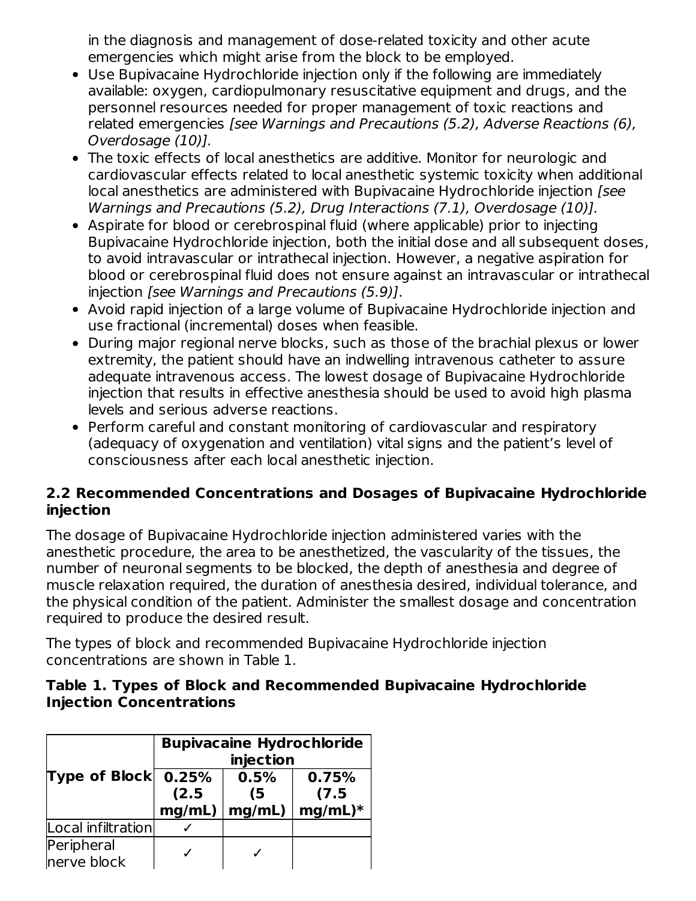in the diagnosis and management of dose-related toxicity and other acute emergencies which might arise from the block to be employed.

- Use Bupivacaine Hydrochloride injection only if the following are immediately available: oxygen, cardiopulmonary resuscitative equipment and drugs, and the personnel resources needed for proper management of toxic reactions and related emergencies [see Warnings and Precautions (5.2), Adverse Reactions (6), Overdosage (10)].
- The toxic effects of local anesthetics are additive. Monitor for neurologic and cardiovascular effects related to local anesthetic systemic toxicity when additional local anesthetics are administered with Bupivacaine Hydrochloride injection [see Warnings and Precautions (5.2), Drug Interactions (7.1), Overdosage (10)].
- Aspirate for blood or cerebrospinal fluid (where applicable) prior to injecting Bupivacaine Hydrochloride injection, both the initial dose and all subsequent doses, to avoid intravascular or intrathecal injection. However, a negative aspiration for blood or cerebrospinal fluid does not ensure against an intravascular or intrathecal injection [see Warnings and Precautions (5.9)].
- Avoid rapid injection of a large volume of Bupivacaine Hydrochloride injection and use fractional (incremental) doses when feasible.
- During major regional nerve blocks, such as those of the brachial plexus or lower extremity, the patient should have an indwelling intravenous catheter to assure adequate intravenous access. The lowest dosage of Bupivacaine Hydrochloride injection that results in effective anesthesia should be used to avoid high plasma levels and serious adverse reactions.
- Perform careful and constant monitoring of cardiovascular and respiratory (adequacy of oxygenation and ventilation) vital signs and the patient's level of consciousness after each local anesthetic injection.

#### **2.2 Recommended Concentrations and Dosages of Bupivacaine Hydrochloride injection**

The dosage of Bupivacaine Hydrochloride injection administered varies with the anesthetic procedure, the area to be anesthetized, the vascularity of the tissues, the number of neuronal segments to be blocked, the depth of anesthesia and degree of muscle relaxation required, the duration of anesthesia desired, individual tolerance, and the physical condition of the patient. Administer the smallest dosage and concentration required to produce the desired result.

The types of block and recommended Bupivacaine Hydrochloride injection concentrations are shown in Table 1.

#### **Table 1. Types of Block and Recommended Bupivacaine Hydrochloride Injection Concentrations**

|                             | <b>Bupivacaine Hydrochloride</b><br>injection |                      |                             |  |
|-----------------------------|-----------------------------------------------|----------------------|-----------------------------|--|
| Type of Block $\vert$ 0.25% | (2.5)<br>mg/mL)                               | 0.5%<br>(5<br>mg/mL) | 0.75%<br>(7.5)<br>$mg/mL)*$ |  |
| Local infiltration          |                                               |                      |                             |  |
| Peripheral<br>nerve block   |                                               |                      |                             |  |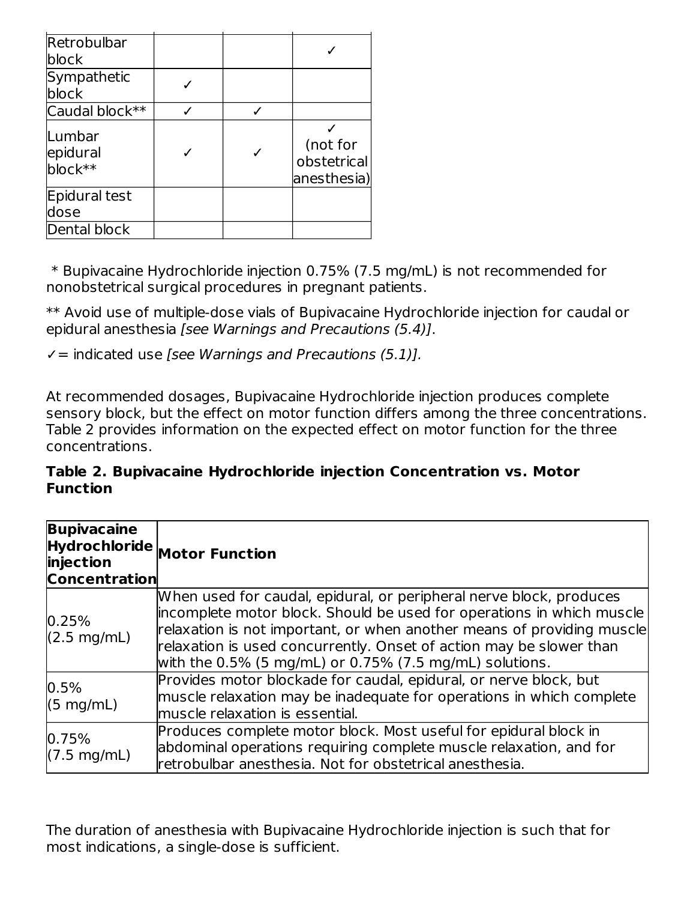| Retrobulbar                   |  |                                        |
|-------------------------------|--|----------------------------------------|
| block                         |  |                                        |
| Sympathetic                   |  |                                        |
| block                         |  |                                        |
| Caudal block**                |  |                                        |
| Lumbar<br>epidural<br>block** |  | (not for<br>obstetrical<br>anesthesia) |
| Epidural test<br>dose         |  |                                        |
| Dental block                  |  |                                        |

\* Bupivacaine Hydrochloride injection 0.75% (7.5 mg/mL) is not recommended for nonobstetrical surgical procedures in pregnant patients.

\*\* Avoid use of multiple-dose vials of Bupivacaine Hydrochloride injection for caudal or epidural anesthesia [see Warnings and Precautions (5.4)].

 $\checkmark$  = indicated use [see Warnings and Precautions (5.1)].

At recommended dosages, Bupivacaine Hydrochloride injection produces complete sensory block, but the effect on motor function differs among the three concentrations. Table 2 provides information on the expected effect on motor function for the three concentrations.

**Table 2. Bupivacaine Hydrochloride injection Concentration vs. Motor Function**

| <b>Bupivacaine</b><br>injection<br><b>Concentration</b> | $Hydrochloride$ Motor Function                                                                                                                                                                                                                                                                                                                                 |
|---------------------------------------------------------|----------------------------------------------------------------------------------------------------------------------------------------------------------------------------------------------------------------------------------------------------------------------------------------------------------------------------------------------------------------|
| 0.25%<br>$(2.5 \text{ mg/mL})$                          | When used for caudal, epidural, or peripheral nerve block, produces<br>incomplete motor block. Should be used for operations in which muscle<br>relaxation is not important, or when another means of providing muscle<br>relaxation is used concurrently. Onset of action may be slower than<br>with the $0.5\%$ (5 mg/mL) or $0.75\%$ (7.5 mg/mL) solutions. |
| 0.5%<br>$(5 \text{ mg/mL})$                             | Provides motor blockade for caudal, epidural, or nerve block, but<br>muscle relaxation may be inadequate for operations in which complete<br>muscle relaxation is essential.                                                                                                                                                                                   |
| 0.75%<br>$(7.5 \text{ mg/mL})$                          | Produces complete motor block. Most useful for epidural block in<br>abdominal operations requiring complete muscle relaxation, and for<br>retrobulbar anesthesia. Not for obstetrical anesthesia.                                                                                                                                                              |

The duration of anesthesia with Bupivacaine Hydrochloride injection is such that for most indications, a single-dose is sufficient.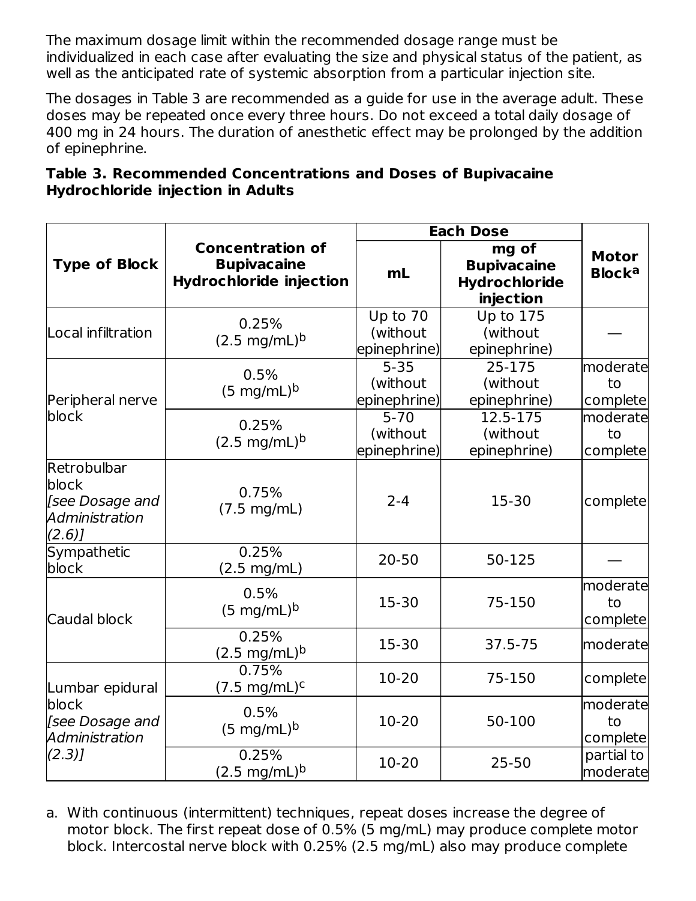The maximum dosage limit within the recommended dosage range must be individualized in each case after evaluating the size and physical status of the patient, as well as the anticipated rate of systemic absorption from a particular injection site.

The dosages in Table 3 are recommended as a guide for use in the average adult. These doses may be repeated once every three hours. Do not exceed a total daily dosage of 400 mg in 24 hours. The duration of anesthetic effect may be prolonged by the addition of epinephrine.

| Table 3. Recommended Concentrations and Doses of Bupivacaine |  |  |
|--------------------------------------------------------------|--|--|
| <b>Hydrochloride injection in Adults</b>                     |  |  |

|                                                                    |                                                                                 | <b>Each Dose</b>                     |                                                           |                                          |  |
|--------------------------------------------------------------------|---------------------------------------------------------------------------------|--------------------------------------|-----------------------------------------------------------|------------------------------------------|--|
| <b>Type of Block</b>                                               | <b>Concentration of</b><br><b>Bupivacaine</b><br><b>Hydrochloride injection</b> | m <sub>L</sub>                       | mg of<br><b>Bupivacaine</b><br>Hydrochloride<br>injection | <b>Motor</b><br><b>Block<sup>a</sup></b> |  |
| Local infiltration                                                 | 0.25%<br>$(2.5 \text{ mg/mL})^{\text{b}}$                                       | Up to 70<br>(without<br>epinephrine) | <b>Up to 175</b><br>(without<br>epinephrine)              |                                          |  |
| Peripheral nerve                                                   | 0.5%<br>$(5 \text{ mg/mL})^b$                                                   | $5 - 35$<br>(without<br>epinephrine) | 25-175<br>(without<br>epinephrine)                        | moderate<br>to<br>complete               |  |
| block                                                              | 0.25%<br>$(2.5 \text{ mg/mL})^b$                                                | $5 - 70$<br>(without<br>epinephrine) | 12.5-175<br>(without<br>epinephrine)                      | moderate<br>to<br>complete               |  |
| Retrobulbar<br>block<br>[see Dosage and<br>Administration<br>(2.6) | 0.75%<br>(7.5 mg/mL)                                                            | $2 - 4$                              | 15-30                                                     | complete                                 |  |
| <b>Sympathetic</b><br>block                                        | 0.25%<br>(2.5 mg/mL)                                                            | $20 - 50$                            | 50-125                                                    |                                          |  |
| Caudal block                                                       | 0.5%<br>$(5 \text{ mg/mL})^b$                                                   | 15-30                                | 75-150                                                    | moderate<br>to<br>complete               |  |
|                                                                    | 0.25%<br>$(2.5 \text{ mg/mL})^{\text{b}}$                                       | 15-30                                | 37.5-75                                                   | moderate                                 |  |
| Lumbar epidural                                                    | 0.75%<br>$(7.5 \text{ mg/mL})^c$                                                | 10-20                                | 75-150                                                    | complete                                 |  |
| block<br>[see Dosage and<br>Administration                         | 0.5%<br>$(5 \text{ mg/mL})^b$                                                   | 10-20                                | 50-100                                                    | moderate<br>to<br>complete               |  |
| (2.3)                                                              | 0.25%<br>$(2.5 \text{ mg/mL})^b$                                                | 10-20                                | $25 - 50$                                                 | partial to<br>moderate                   |  |

a. With continuous (intermittent) techniques, repeat doses increase the degree of motor block. The first repeat dose of 0.5% (5 mg/mL) may produce complete motor block. Intercostal nerve block with 0.25% (2.5 mg/mL) also may produce complete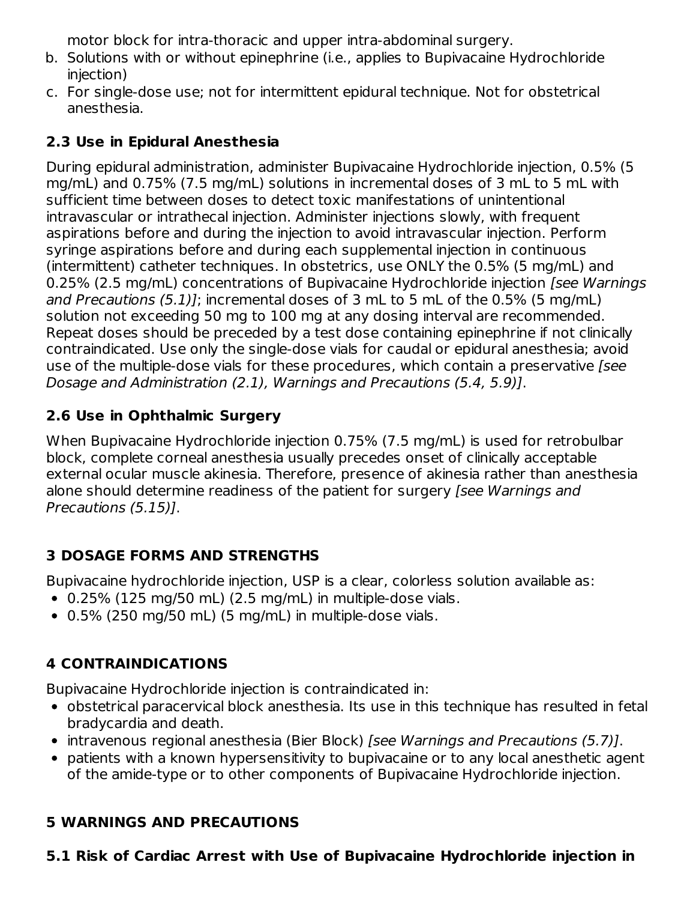motor block for intra-thoracic and upper intra-abdominal surgery.

- b. Solutions with or without epinephrine (i.e., applies to Bupivacaine Hydrochloride injection)
- c. For single-dose use; not for intermittent epidural technique. Not for obstetrical anesthesia.

### **2.3 Use in Epidural Anesthesia**

During epidural administration, administer Bupivacaine Hydrochloride injection, 0.5% (5 mg/mL) and 0.75% (7.5 mg/mL) solutions in incremental doses of 3 mL to 5 mL with sufficient time between doses to detect toxic manifestations of unintentional intravascular or intrathecal injection. Administer injections slowly, with frequent aspirations before and during the injection to avoid intravascular injection. Perform syringe aspirations before and during each supplemental injection in continuous (intermittent) catheter techniques. In obstetrics, use ONLY the 0.5% (5 mg/mL) and 0.25% (2.5 mg/mL) concentrations of Bupivacaine Hydrochloride injection [see Warnings and Precautions (5.1)]; incremental doses of 3 mL to 5 mL of the 0.5% (5 mg/mL) solution not exceeding 50 mg to 100 mg at any dosing interval are recommended. Repeat doses should be preceded by a test dose containing epinephrine if not clinically contraindicated. Use only the single-dose vials for caudal or epidural anesthesia; avoid use of the multiple-dose vials for these procedures, which contain a preservative [see Dosage and Administration (2.1), Warnings and Precautions (5.4, 5.9)].

### **2.6 Use in Ophthalmic Surgery**

When Bupivacaine Hydrochloride injection 0.75% (7.5 mg/mL) is used for retrobulbar block, complete corneal anesthesia usually precedes onset of clinically acceptable external ocular muscle akinesia. Therefore, presence of akinesia rather than anesthesia alone should determine readiness of the patient for surgery [see Warnings and Precautions (5.15)].

### **3 DOSAGE FORMS AND STRENGTHS**

Bupivacaine hydrochloride injection, USP is a clear, colorless solution available as:

- $\bullet$  0.25% (125 mg/50 mL) (2.5 mg/mL) in multiple-dose vials.
- 0.5% (250 mg/50 mL) (5 mg/mL) in multiple-dose vials.

## **4 CONTRAINDICATIONS**

Bupivacaine Hydrochloride injection is contraindicated in:

- obstetrical paracervical block anesthesia. Its use in this technique has resulted in fetal bradycardia and death.
- intravenous regional anesthesia (Bier Block) [see Warnings and Precautions (5.7)].
- patients with a known hypersensitivity to bupivacaine or to any local anesthetic agent of the amide-type or to other components of Bupivacaine Hydrochloride injection.

### **5 WARNINGS AND PRECAUTIONS**

### **5.1 Risk of Cardiac Arrest with Use of Bupivacaine Hydrochloride injection in**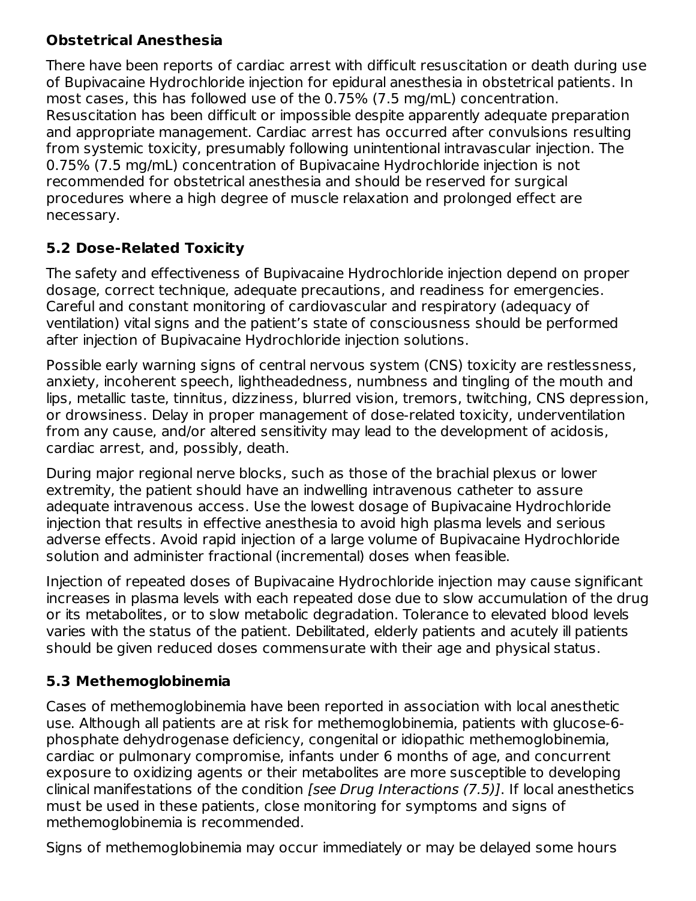### **Obstetrical Anesthesia**

There have been reports of cardiac arrest with difficult resuscitation or death during use of Bupivacaine Hydrochloride injection for epidural anesthesia in obstetrical patients. In most cases, this has followed use of the 0.75% (7.5 mg/mL) concentration. Resuscitation has been difficult or impossible despite apparently adequate preparation and appropriate management. Cardiac arrest has occurred after convulsions resulting from systemic toxicity, presumably following unintentional intravascular injection. The 0.75% (7.5 mg/mL) concentration of Bupivacaine Hydrochloride injection is not recommended for obstetrical anesthesia and should be reserved for surgical procedures where a high degree of muscle relaxation and prolonged effect are necessary.

## **5.2 Dose-Related Toxicity**

The safety and effectiveness of Bupivacaine Hydrochloride injection depend on proper dosage, correct technique, adequate precautions, and readiness for emergencies. Careful and constant monitoring of cardiovascular and respiratory (adequacy of ventilation) vital signs and the patient's state of consciousness should be performed after injection of Bupivacaine Hydrochloride injection solutions.

Possible early warning signs of central nervous system (CNS) toxicity are restlessness, anxiety, incoherent speech, lightheadedness, numbness and tingling of the mouth and lips, metallic taste, tinnitus, dizziness, blurred vision, tremors, twitching, CNS depression, or drowsiness. Delay in proper management of dose-related toxicity, underventilation from any cause, and/or altered sensitivity may lead to the development of acidosis, cardiac arrest, and, possibly, death.

During major regional nerve blocks, such as those of the brachial plexus or lower extremity, the patient should have an indwelling intravenous catheter to assure adequate intravenous access. Use the lowest dosage of Bupivacaine Hydrochloride injection that results in effective anesthesia to avoid high plasma levels and serious adverse effects. Avoid rapid injection of a large volume of Bupivacaine Hydrochloride solution and administer fractional (incremental) doses when feasible.

Injection of repeated doses of Bupivacaine Hydrochloride injection may cause significant increases in plasma levels with each repeated dose due to slow accumulation of the drug or its metabolites, or to slow metabolic degradation. Tolerance to elevated blood levels varies with the status of the patient. Debilitated, elderly patients and acutely ill patients should be given reduced doses commensurate with their age and physical status.

## **5.3 Methemoglobinemia**

Cases of methemoglobinemia have been reported in association with local anesthetic use. Although all patients are at risk for methemoglobinemia, patients with glucose-6 phosphate dehydrogenase deficiency, congenital or idiopathic methemoglobinemia, cardiac or pulmonary compromise, infants under 6 months of age, and concurrent exposure to oxidizing agents or their metabolites are more susceptible to developing clinical manifestations of the condition [see Drug Interactions (7.5)]. If local anesthetics must be used in these patients, close monitoring for symptoms and signs of methemoglobinemia is recommended.

Signs of methemoglobinemia may occur immediately or may be delayed some hours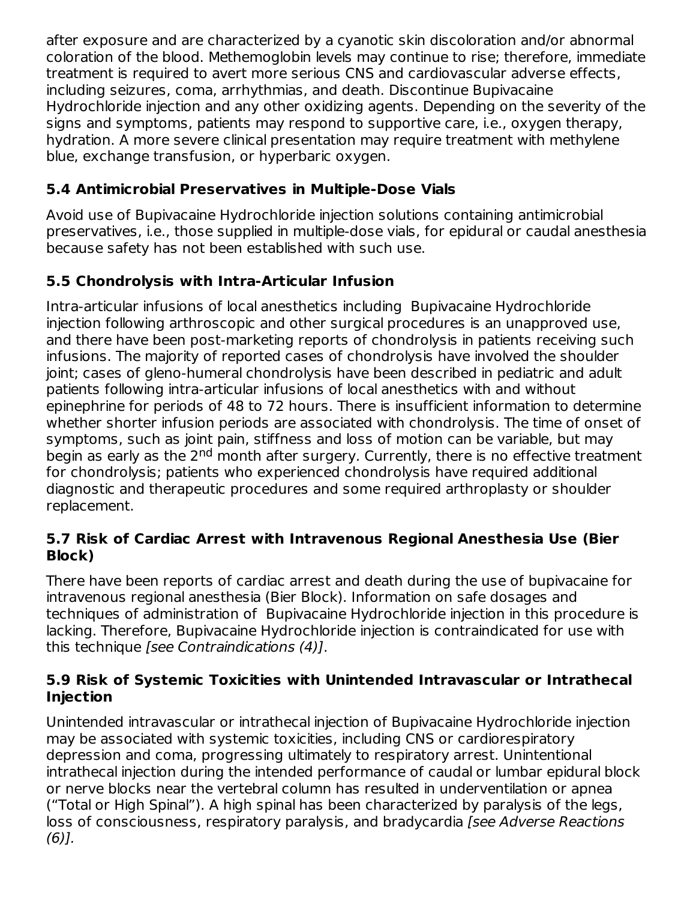after exposure and are characterized by a cyanotic skin discoloration and/or abnormal coloration of the blood. Methemoglobin levels may continue to rise; therefore, immediate treatment is required to avert more serious CNS and cardiovascular adverse effects, including seizures, coma, arrhythmias, and death. Discontinue Bupivacaine Hydrochloride injection and any other oxidizing agents. Depending on the severity of the signs and symptoms, patients may respond to supportive care, i.e., oxygen therapy, hydration. A more severe clinical presentation may require treatment with methylene blue, exchange transfusion, or hyperbaric oxygen.

### **5.4 Antimicrobial Preservatives in Multiple-Dose Vials**

Avoid use of Bupivacaine Hydrochloride injection solutions containing antimicrobial preservatives, i.e., those supplied in multiple-dose vials, for epidural or caudal anesthesia because safety has not been established with such use.

### **5.5 Chondrolysis with Intra-Articular Infusion**

Intra-articular infusions of local anesthetics including Bupivacaine Hydrochloride injection following arthroscopic and other surgical procedures is an unapproved use, and there have been post-marketing reports of chondrolysis in patients receiving such infusions. The majority of reported cases of chondrolysis have involved the shoulder joint; cases of gleno-humeral chondrolysis have been described in pediatric and adult patients following intra-articular infusions of local anesthetics with and without epinephrine for periods of 48 to 72 hours. There is insufficient information to determine whether shorter infusion periods are associated with chondrolysis. The time of onset of symptoms, such as joint pain, stiffness and loss of motion can be variable, but may begin as early as the 2<sup>nd</sup> month after surgery. Currently, there is no effective treatment for chondrolysis; patients who experienced chondrolysis have required additional diagnostic and therapeutic procedures and some required arthroplasty or shoulder replacement.

### **5.7 Risk of Cardiac Arrest with Intravenous Regional Anesthesia Use (Bier Block)**

There have been reports of cardiac arrest and death during the use of bupivacaine for intravenous regional anesthesia (Bier Block). Information on safe dosages and techniques of administration of Bupivacaine Hydrochloride injection in this procedure is lacking. Therefore, Bupivacaine Hydrochloride injection is contraindicated for use with this technique [see Contraindications (4)].

### **5.9 Risk of Systemic Toxicities with Unintended Intravascular or Intrathecal Injection**

Unintended intravascular or intrathecal injection of Bupivacaine Hydrochloride injection may be associated with systemic toxicities, including CNS or cardiorespiratory depression and coma, progressing ultimately to respiratory arrest. Unintentional intrathecal injection during the intended performance of caudal or lumbar epidural block or nerve blocks near the vertebral column has resulted in underventilation or apnea ("Total or High Spinal"). A high spinal has been characterized by paralysis of the legs, loss of consciousness, respiratory paralysis, and bradycardia [see Adverse Reactions]  $(6)$ ].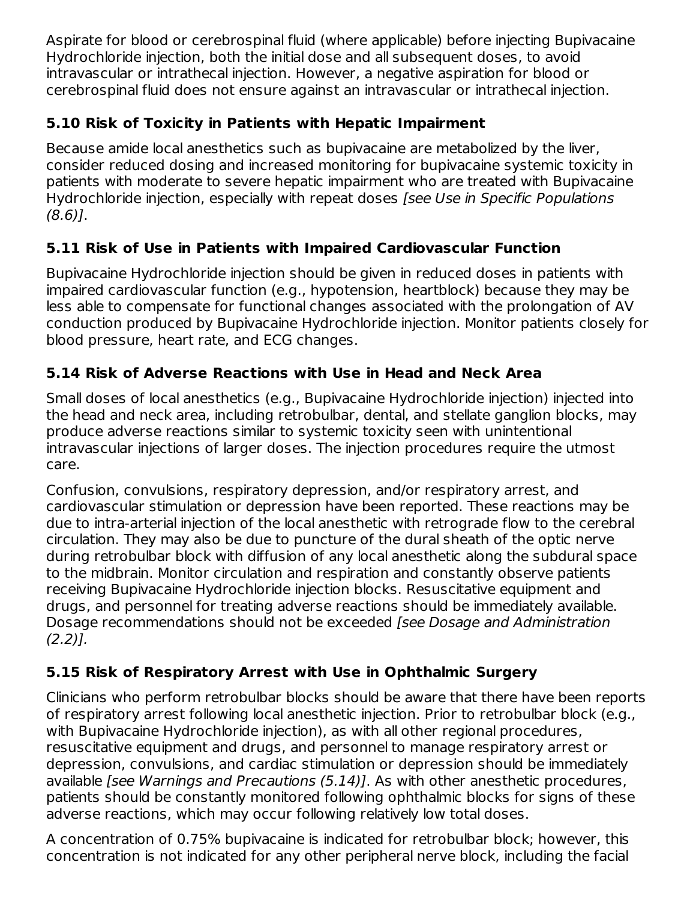Aspirate for blood or cerebrospinal fluid (where applicable) before injecting Bupivacaine Hydrochloride injection, both the initial dose and all subsequent doses, to avoid intravascular or intrathecal injection. However, a negative aspiration for blood or cerebrospinal fluid does not ensure against an intravascular or intrathecal injection.

## **5.10 Risk of Toxicity in Patients with Hepatic Impairment**

Because amide local anesthetics such as bupivacaine are metabolized by the liver, consider reduced dosing and increased monitoring for bupivacaine systemic toxicity in patients with moderate to severe hepatic impairment who are treated with Bupivacaine Hydrochloride injection, especially with repeat doses [see Use in Specific Populations (8.6)].

## **5.11 Risk of Use in Patients with Impaired Cardiovascular Function**

Bupivacaine Hydrochloride injection should be given in reduced doses in patients with impaired cardiovascular function (e.g., hypotension, heartblock) because they may be less able to compensate for functional changes associated with the prolongation of AV conduction produced by Bupivacaine Hydrochloride injection. Monitor patients closely for blood pressure, heart rate, and ECG changes.

## **5.14 Risk of Adverse Reactions with Use in Head and Neck Area**

Small doses of local anesthetics (e.g., Bupivacaine Hydrochloride injection) injected into the head and neck area, including retrobulbar, dental, and stellate ganglion blocks, may produce adverse reactions similar to systemic toxicity seen with unintentional intravascular injections of larger doses. The injection procedures require the utmost care.

Confusion, convulsions, respiratory depression, and/or respiratory arrest, and cardiovascular stimulation or depression have been reported. These reactions may be due to intra-arterial injection of the local anesthetic with retrograde flow to the cerebral circulation. They may also be due to puncture of the dural sheath of the optic nerve during retrobulbar block with diffusion of any local anesthetic along the subdural space to the midbrain. Monitor circulation and respiration and constantly observe patients receiving Bupivacaine Hydrochloride injection blocks. Resuscitative equipment and drugs, and personnel for treating adverse reactions should be immediately available. Dosage recommendations should not be exceeded [see Dosage and Administration (2.2)].

## **5.15 Risk of Respiratory Arrest with Use in Ophthalmic Surgery**

Clinicians who perform retrobulbar blocks should be aware that there have been reports of respiratory arrest following local anesthetic injection. Prior to retrobulbar block (e.g., with Bupivacaine Hydrochloride injection), as with all other regional procedures, resuscitative equipment and drugs, and personnel to manage respiratory arrest or depression, convulsions, and cardiac stimulation or depression should be immediately available [see Warnings and Precautions (5.14)]. As with other anesthetic procedures, patients should be constantly monitored following ophthalmic blocks for signs of these adverse reactions, which may occur following relatively low total doses.

A concentration of 0.75% bupivacaine is indicated for retrobulbar block; however, this concentration is not indicated for any other peripheral nerve block, including the facial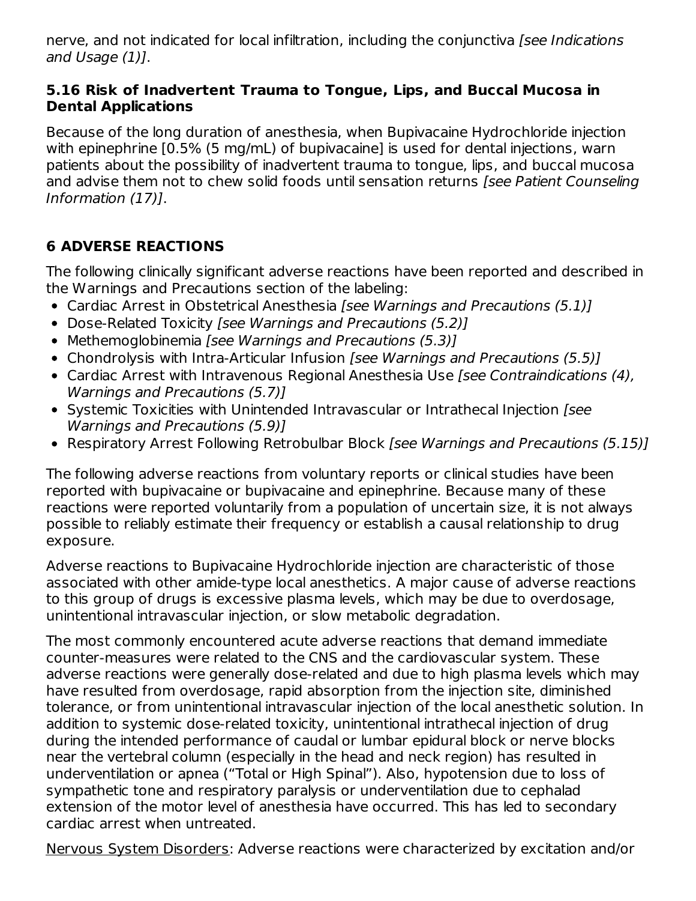nerve, and not indicated for local infiltration, including the conjunctiva [see Indications and Usage (1)].

#### **5.16 Risk of Inadvertent Trauma to Tongue, Lips, and Buccal Mucosa in Dental Applications**

Because of the long duration of anesthesia, when Bupivacaine Hydrochloride injection with epinephrine [0.5% (5 mg/mL) of bupivacaine] is used for dental injections, warn patients about the possibility of inadvertent trauma to tongue, lips, and buccal mucosa and advise them not to chew solid foods until sensation returns [see Patient Counseling Information (17)].

### **6 ADVERSE REACTIONS**

The following clinically significant adverse reactions have been reported and described in the Warnings and Precautions section of the labeling:

- Cardiac Arrest in Obstetrical Anesthesia [see Warnings and Precautions (5.1)]
- Dose-Related Toxicity [see Warnings and Precautions (5.2)]
- Methemoglobinemia *[see Warnings and Precautions (5.3)]*
- Chondrolysis with Intra-Articular Infusion [see Warnings and Precautions (5.5)]
- Cardiac Arrest with Intravenous Regional Anesthesia Use [see Contraindications (4), Warnings and Precautions (5.7)]
- Systemic Toxicities with Unintended Intravascular or Intrathecal Injection [see Warnings and Precautions (5.9)]
- Respiratory Arrest Following Retrobulbar Block [see Warnings and Precautions (5.15)]

The following adverse reactions from voluntary reports or clinical studies have been reported with bupivacaine or bupivacaine and epinephrine. Because many of these reactions were reported voluntarily from a population of uncertain size, it is not always possible to reliably estimate their frequency or establish a causal relationship to drug exposure.

Adverse reactions to Bupivacaine Hydrochloride injection are characteristic of those associated with other amide-type local anesthetics. A major cause of adverse reactions to this group of drugs is excessive plasma levels, which may be due to overdosage, unintentional intravascular injection, or slow metabolic degradation.

The most commonly encountered acute adverse reactions that demand immediate counter-measures were related to the CNS and the cardiovascular system. These adverse reactions were generally dose-related and due to high plasma levels which may have resulted from overdosage, rapid absorption from the injection site, diminished tolerance, or from unintentional intravascular injection of the local anesthetic solution. In addition to systemic dose-related toxicity, unintentional intrathecal injection of drug during the intended performance of caudal or lumbar epidural block or nerve blocks near the vertebral column (especially in the head and neck region) has resulted in underventilation or apnea ("Total or High Spinal"). Also, hypotension due to loss of sympathetic tone and respiratory paralysis or underventilation due to cephalad extension of the motor level of anesthesia have occurred. This has led to secondary cardiac arrest when untreated.

Nervous System Disorders: Adverse reactions were characterized by excitation and/or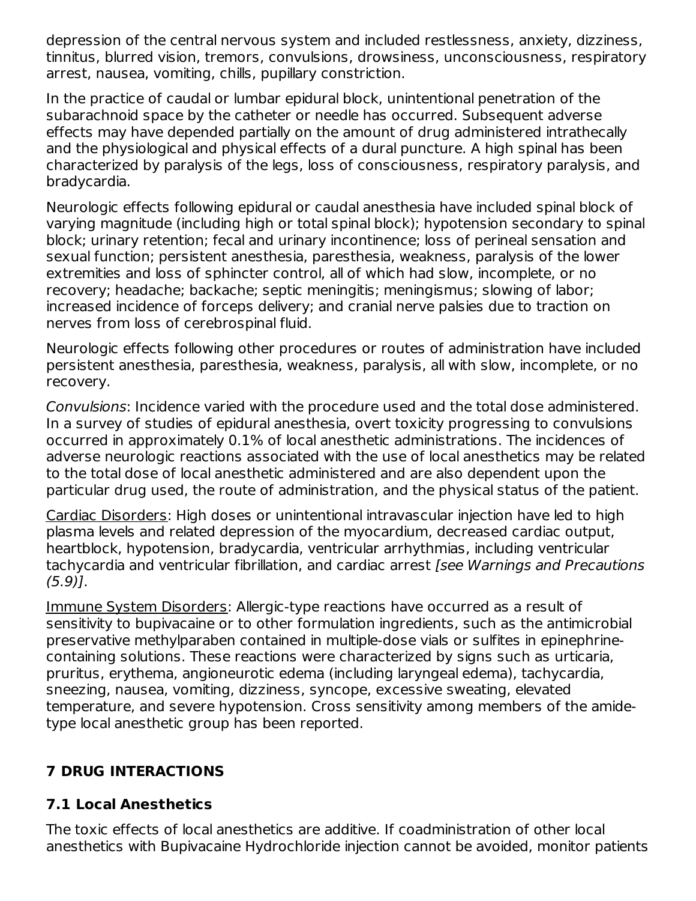depression of the central nervous system and included restlessness, anxiety, dizziness, tinnitus, blurred vision, tremors, convulsions, drowsiness, unconsciousness, respiratory arrest, nausea, vomiting, chills, pupillary constriction.

In the practice of caudal or lumbar epidural block, unintentional penetration of the subarachnoid space by the catheter or needle has occurred. Subsequent adverse effects may have depended partially on the amount of drug administered intrathecally and the physiological and physical effects of a dural puncture. A high spinal has been characterized by paralysis of the legs, loss of consciousness, respiratory paralysis, and bradycardia.

Neurologic effects following epidural or caudal anesthesia have included spinal block of varying magnitude (including high or total spinal block); hypotension secondary to spinal block; urinary retention; fecal and urinary incontinence; loss of perineal sensation and sexual function; persistent anesthesia, paresthesia, weakness, paralysis of the lower extremities and loss of sphincter control, all of which had slow, incomplete, or no recovery; headache; backache; septic meningitis; meningismus; slowing of labor; increased incidence of forceps delivery; and cranial nerve palsies due to traction on nerves from loss of cerebrospinal fluid.

Neurologic effects following other procedures or routes of administration have included persistent anesthesia, paresthesia, weakness, paralysis, all with slow, incomplete, or no recovery.

Convulsions: Incidence varied with the procedure used and the total dose administered. In a survey of studies of epidural anesthesia, overt toxicity progressing to convulsions occurred in approximately 0.1% of local anesthetic administrations. The incidences of adverse neurologic reactions associated with the use of local anesthetics may be related to the total dose of local anesthetic administered and are also dependent upon the particular drug used, the route of administration, and the physical status of the patient.

Cardiac Disorders: High doses or unintentional intravascular injection have led to high plasma levels and related depression of the myocardium, decreased cardiac output, heartblock, hypotension, bradycardia, ventricular arrhythmias, including ventricular tachycardia and ventricular fibrillation, and cardiac arrest [see Warnings and Precautions  $(5.9)$ ].

Immune System Disorders: Allergic-type reactions have occurred as a result of sensitivity to bupivacaine or to other formulation ingredients, such as the antimicrobial preservative methylparaben contained in multiple-dose vials or sulfites in epinephrinecontaining solutions. These reactions were characterized by signs such as urticaria, pruritus, erythema, angioneurotic edema (including laryngeal edema), tachycardia, sneezing, nausea, vomiting, dizziness, syncope, excessive sweating, elevated temperature, and severe hypotension. Cross sensitivity among members of the amidetype local anesthetic group has been reported.

### **7 DRUG INTERACTIONS**

### **7.1 Local Anesthetics**

The toxic effects of local anesthetics are additive. If coadministration of other local anesthetics with Bupivacaine Hydrochloride injection cannot be avoided, monitor patients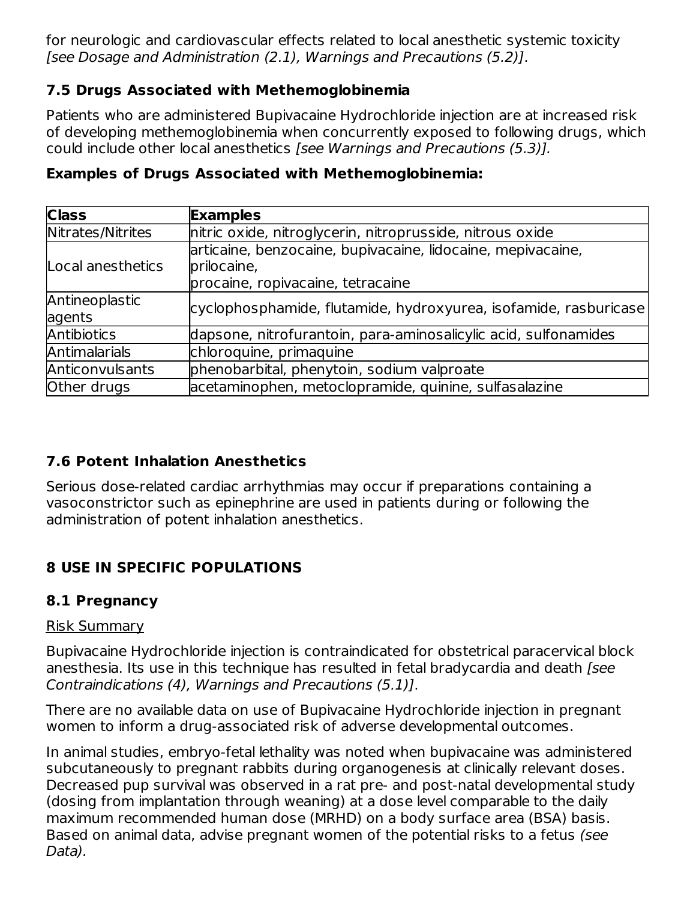for neurologic and cardiovascular effects related to local anesthetic systemic toxicity [see Dosage and Administration (2.1), Warnings and Precautions (5.2)].

#### **7.5 Drugs Associated with Methemoglobinemia**

Patients who are administered Bupivacaine Hydrochloride injection are at increased risk of developing methemoglobinemia when concurrently exposed to following drugs, which could include other local anesthetics [see Warnings and Precautions (5.3)].

| <b>Class</b>             | <b>Examples</b>                                                                                                 |
|--------------------------|-----------------------------------------------------------------------------------------------------------------|
| Nitrates/Nitrites        | nitric oxide, nitroglycerin, nitroprusside, nitrous oxide                                                       |
| Local anesthetics        | articaine, benzocaine, bupivacaine, lidocaine, mepivacaine,<br>prilocaine,<br>procaine, ropivacaine, tetracaine |
| Antineoplastic<br>agents | cyclophosphamide, flutamide, hydroxyurea, isofamide, rasburicase                                                |
| Antibiotics              | dapsone, nitrofurantoin, para-aminosalicylic acid, sulfonamides                                                 |
| Antimalarials            | chloroquine, primaquine                                                                                         |
| Anticonvulsants          | phenobarbital, phenytoin, sodium valproate                                                                      |
| Other drugs              | acetaminophen, metoclopramide, quinine, sulfasalazine                                                           |

#### **Examples of Drugs Associated with Methemoglobinemia:**

### **7.6 Potent Inhalation Anesthetics**

Serious dose-related cardiac arrhythmias may occur if preparations containing a vasoconstrictor such as epinephrine are used in patients during or following the administration of potent inhalation anesthetics.

## **8 USE IN SPECIFIC POPULATIONS**

### **8.1 Pregnancy**

#### Risk Summary

Bupivacaine Hydrochloride injection is contraindicated for obstetrical paracervical block anesthesia. Its use in this technique has resulted in fetal bradycardia and death [see Contraindications (4), Warnings and Precautions (5.1)].

There are no available data on use of Bupivacaine Hydrochloride injection in pregnant women to inform a drug-associated risk of adverse developmental outcomes.

In animal studies, embryo-fetal lethality was noted when bupivacaine was administered subcutaneously to pregnant rabbits during organogenesis at clinically relevant doses. Decreased pup survival was observed in a rat pre- and post-natal developmental study (dosing from implantation through weaning) at a dose level comparable to the daily maximum recommended human dose (MRHD) on a body surface area (BSA) basis. Based on animal data, advise pregnant women of the potential risks to a fetus (see Data).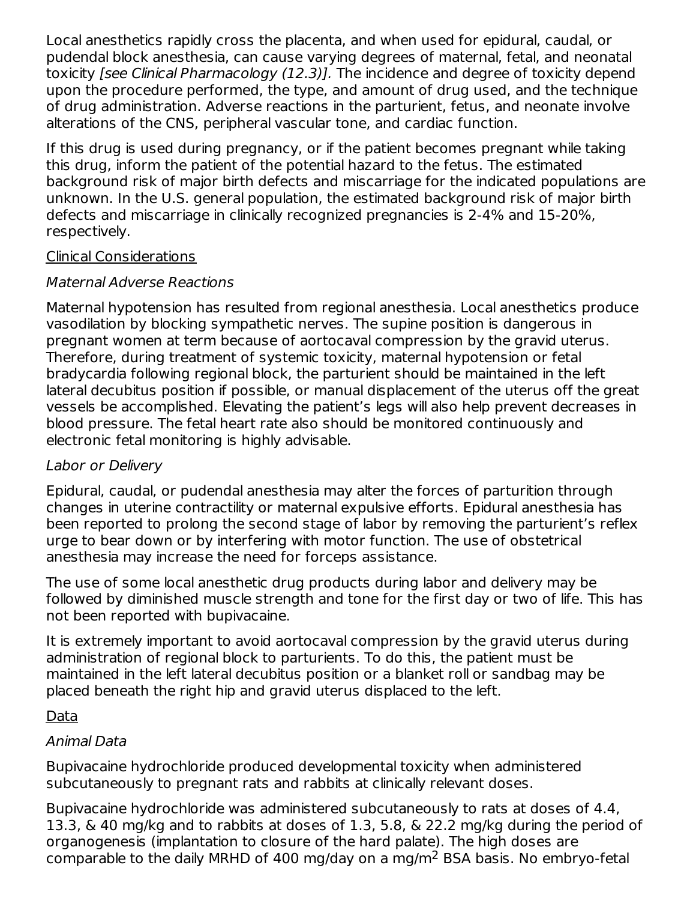Local anesthetics rapidly cross the placenta, and when used for epidural, caudal, or pudendal block anesthesia, can cause varying degrees of maternal, fetal, and neonatal toxicity [see Clinical Pharmacology (12.3)]. The incidence and degree of toxicity depend upon the procedure performed, the type, and amount of drug used, and the technique of drug administration. Adverse reactions in the parturient, fetus, and neonate involve alterations of the CNS, peripheral vascular tone, and cardiac function.

If this drug is used during pregnancy, or if the patient becomes pregnant while taking this drug, inform the patient of the potential hazard to the fetus. The estimated background risk of major birth defects and miscarriage for the indicated populations are unknown. In the U.S. general population, the estimated background risk of major birth defects and miscarriage in clinically recognized pregnancies is 2-4% and 15-20%, respectively.

#### Clinical Considerations

#### Maternal Adverse Reactions

Maternal hypotension has resulted from regional anesthesia. Local anesthetics produce vasodilation by blocking sympathetic nerves. The supine position is dangerous in pregnant women at term because of aortocaval compression by the gravid uterus. Therefore, during treatment of systemic toxicity, maternal hypotension or fetal bradycardia following regional block, the parturient should be maintained in the left lateral decubitus position if possible, or manual displacement of the uterus off the great vessels be accomplished. Elevating the patient's legs will also help prevent decreases in blood pressure. The fetal heart rate also should be monitored continuously and electronic fetal monitoring is highly advisable.

### Labor or Delivery

Epidural, caudal, or pudendal anesthesia may alter the forces of parturition through changes in uterine contractility or maternal expulsive efforts. Epidural anesthesia has been reported to prolong the second stage of labor by removing the parturient's reflex urge to bear down or by interfering with motor function. The use of obstetrical anesthesia may increase the need for forceps assistance.

The use of some local anesthetic drug products during labor and delivery may be followed by diminished muscle strength and tone for the first day or two of life. This has not been reported with bupivacaine.

It is extremely important to avoid aortocaval compression by the gravid uterus during administration of regional block to parturients. To do this, the patient must be maintained in the left lateral decubitus position or a blanket roll or sandbag may be placed beneath the right hip and gravid uterus displaced to the left.

#### Data

### Animal Data

Bupivacaine hydrochloride produced developmental toxicity when administered subcutaneously to pregnant rats and rabbits at clinically relevant doses.

Bupivacaine hydrochloride was administered subcutaneously to rats at doses of 4.4, 13.3, & 40 mg/kg and to rabbits at doses of 1.3, 5.8, & 22.2 mg/kg during the period of organogenesis (implantation to closure of the hard palate). The high doses are comparable to the daily MRHD of 400 mg/day on a mg/m<sup>2</sup> BSA basis. No embryo-fetal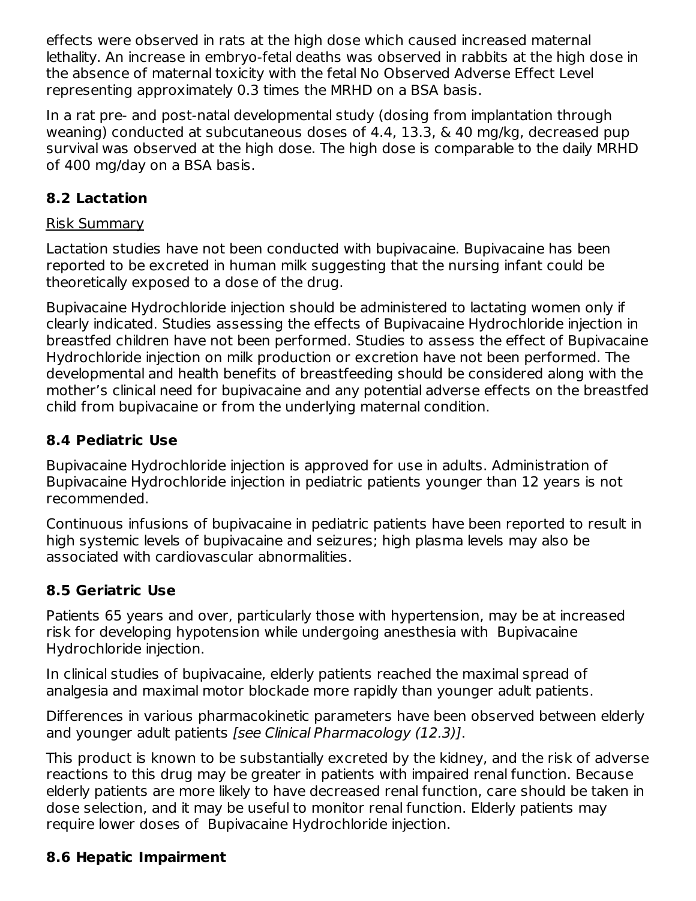effects were observed in rats at the high dose which caused increased maternal lethality. An increase in embryo-fetal deaths was observed in rabbits at the high dose in the absence of maternal toxicity with the fetal No Observed Adverse Effect Level representing approximately 0.3 times the MRHD on a BSA basis.

In a rat pre- and post-natal developmental study (dosing from implantation through weaning) conducted at subcutaneous doses of 4.4, 13.3, & 40 mg/kg, decreased pup survival was observed at the high dose. The high dose is comparable to the daily MRHD of 400 mg/day on a BSA basis.

### **8.2 Lactation**

#### Risk Summary

Lactation studies have not been conducted with bupivacaine. Bupivacaine has been reported to be excreted in human milk suggesting that the nursing infant could be theoretically exposed to a dose of the drug.

Bupivacaine Hydrochloride injection should be administered to lactating women only if clearly indicated. Studies assessing the effects of Bupivacaine Hydrochloride injection in breastfed children have not been performed. Studies to assess the effect of Bupivacaine Hydrochloride injection on milk production or excretion have not been performed. The developmental and health benefits of breastfeeding should be considered along with the mother's clinical need for bupivacaine and any potential adverse effects on the breastfed child from bupivacaine or from the underlying maternal condition.

### **8.4 Pediatric Use**

Bupivacaine Hydrochloride injection is approved for use in adults. Administration of Bupivacaine Hydrochloride injection in pediatric patients younger than 12 years is not recommended.

Continuous infusions of bupivacaine in pediatric patients have been reported to result in high systemic levels of bupivacaine and seizures; high plasma levels may also be associated with cardiovascular abnormalities.

### **8.5 Geriatric Use**

Patients 65 years and over, particularly those with hypertension, may be at increased risk for developing hypotension while undergoing anesthesia with Bupivacaine Hydrochloride injection.

In clinical studies of bupivacaine, elderly patients reached the maximal spread of analgesia and maximal motor blockade more rapidly than younger adult patients.

Differences in various pharmacokinetic parameters have been observed between elderly and younger adult patients [see Clinical Pharmacology (12.3)].

This product is known to be substantially excreted by the kidney, and the risk of adverse reactions to this drug may be greater in patients with impaired renal function. Because elderly patients are more likely to have decreased renal function, care should be taken in dose selection, and it may be useful to monitor renal function. Elderly patients may require lower doses of Bupivacaine Hydrochloride injection.

### **8.6 Hepatic Impairment**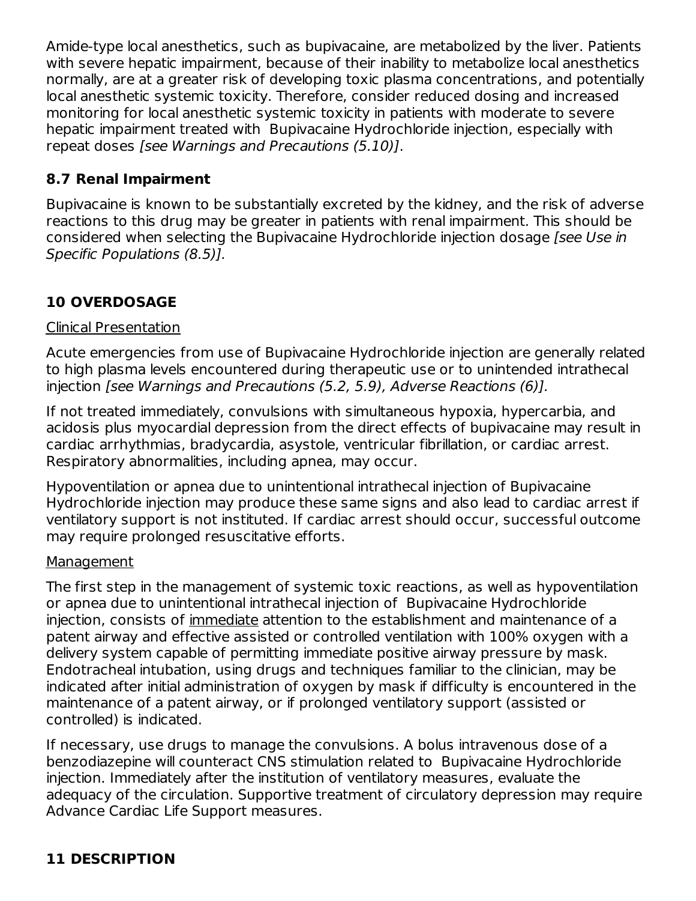Amide-type local anesthetics, such as bupivacaine, are metabolized by the liver. Patients with severe hepatic impairment, because of their inability to metabolize local anesthetics normally, are at a greater risk of developing toxic plasma concentrations, and potentially local anesthetic systemic toxicity. Therefore, consider reduced dosing and increased monitoring for local anesthetic systemic toxicity in patients with moderate to severe hepatic impairment treated with Bupivacaine Hydrochloride injection, especially with repeat doses [see Warnings and Precautions (5.10)].

### **8.7 Renal Impairment**

Bupivacaine is known to be substantially excreted by the kidney, and the risk of adverse reactions to this drug may be greater in patients with renal impairment. This should be considered when selecting the Bupivacaine Hydrochloride injection dosage [see Use in Specific Populations (8.5)].

### **10 OVERDOSAGE**

#### Clinical Presentation

Acute emergencies from use of Bupivacaine Hydrochloride injection are generally related to high plasma levels encountered during therapeutic use or to unintended intrathecal injection [see Warnings and Precautions (5.2, 5.9), Adverse Reactions (6)].

If not treated immediately, convulsions with simultaneous hypoxia, hypercarbia, and acidosis plus myocardial depression from the direct effects of bupivacaine may result in cardiac arrhythmias, bradycardia, asystole, ventricular fibrillation, or cardiac arrest. Respiratory abnormalities, including apnea, may occur.

Hypoventilation or apnea due to unintentional intrathecal injection of Bupivacaine Hydrochloride injection may produce these same signs and also lead to cardiac arrest if ventilatory support is not instituted. If cardiac arrest should occur, successful outcome may require prolonged resuscitative efforts.

#### Management

The first step in the management of systemic toxic reactions, as well as hypoventilation or apnea due to unintentional intrathecal injection of Bupivacaine Hydrochloride injection, consists of immediate attention to the establishment and maintenance of a patent airway and effective assisted or controlled ventilation with 100% oxygen with a delivery system capable of permitting immediate positive airway pressure by mask. Endotracheal intubation, using drugs and techniques familiar to the clinician, may be indicated after initial administration of oxygen by mask if difficulty is encountered in the maintenance of a patent airway, or if prolonged ventilatory support (assisted or controlled) is indicated.

If necessary, use drugs to manage the convulsions. A bolus intravenous dose of a benzodiazepine will counteract CNS stimulation related to Bupivacaine Hydrochloride injection. Immediately after the institution of ventilatory measures, evaluate the adequacy of the circulation. Supportive treatment of circulatory depression may require Advance Cardiac Life Support measures.

### **11 DESCRIPTION**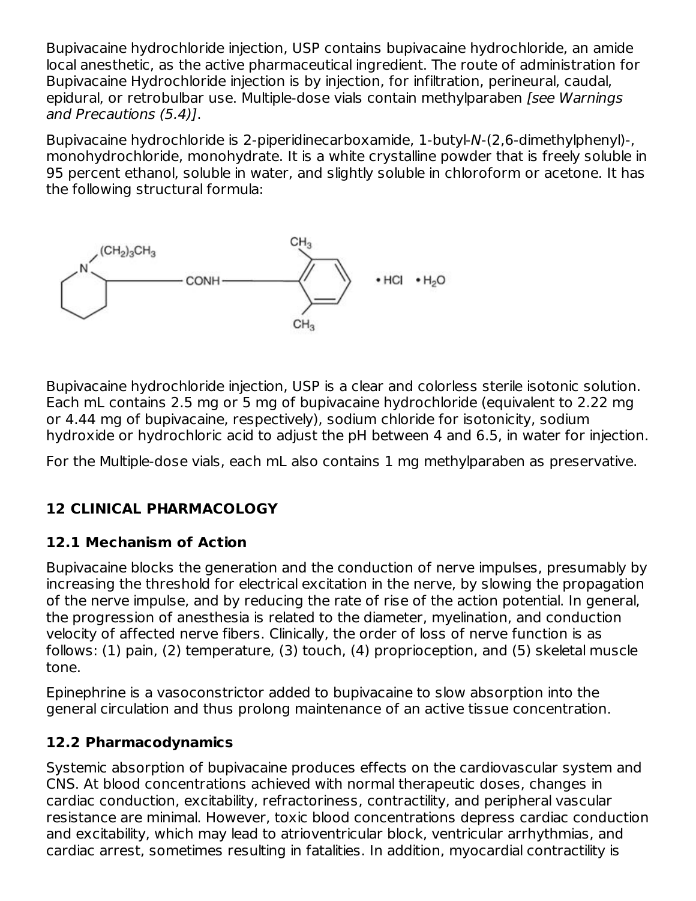Bupivacaine hydrochloride injection, USP contains bupivacaine hydrochloride, an amide local anesthetic, as the active pharmaceutical ingredient. The route of administration for Bupivacaine Hydrochloride injection is by injection, for infiltration, perineural, caudal, epidural, or retrobulbar use. Multiple-dose vials contain methylparaben [see Warnings and Precautions (5.4)].

Bupivacaine hydrochloride is 2-piperidinecarboxamide, 1-butyl-N-(2,6-dimethylphenyl)-, monohydrochloride, monohydrate. It is a white crystalline powder that is freely soluble in 95 percent ethanol, soluble in water, and slightly soluble in chloroform or acetone. It has the following structural formula:



Bupivacaine hydrochloride injection, USP is a clear and colorless sterile isotonic solution. Each mL contains 2.5 mg or 5 mg of bupivacaine hydrochloride (equivalent to 2.22 mg or 4.44 mg of bupivacaine, respectively), sodium chloride for isotonicity, sodium hydroxide or hydrochloric acid to adjust the pH between 4 and 6.5, in water for injection.

For the Multiple-dose vials, each mL also contains 1 mg methylparaben as preservative.

### **12 CLINICAL PHARMACOLOGY**

### **12.1 Mechanism of Action**

Bupivacaine blocks the generation and the conduction of nerve impulses, presumably by increasing the threshold for electrical excitation in the nerve, by slowing the propagation of the nerve impulse, and by reducing the rate of rise of the action potential. In general, the progression of anesthesia is related to the diameter, myelination, and conduction velocity of affected nerve fibers. Clinically, the order of loss of nerve function is as follows: (1) pain, (2) temperature, (3) touch, (4) proprioception, and (5) skeletal muscle tone.

Epinephrine is a vasoconstrictor added to bupivacaine to slow absorption into the general circulation and thus prolong maintenance of an active tissue concentration.

### **12.2 Pharmacodynamics**

Systemic absorption of bupivacaine produces effects on the cardiovascular system and CNS. At blood concentrations achieved with normal therapeutic doses, changes in cardiac conduction, excitability, refractoriness, contractility, and peripheral vascular resistance are minimal. However, toxic blood concentrations depress cardiac conduction and excitability, which may lead to atrioventricular block, ventricular arrhythmias, and cardiac arrest, sometimes resulting in fatalities. In addition, myocardial contractility is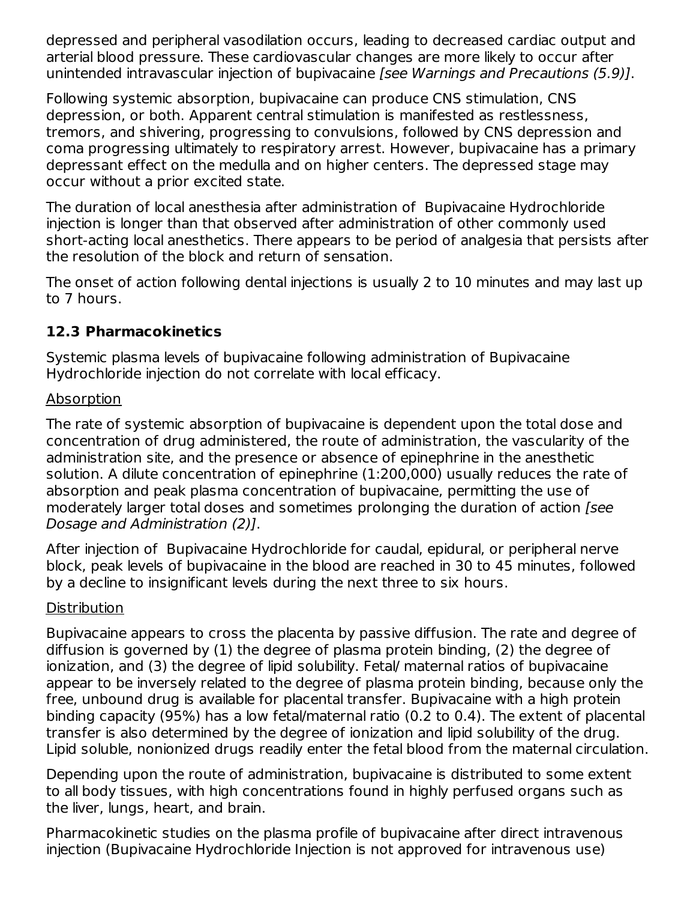depressed and peripheral vasodilation occurs, leading to decreased cardiac output and arterial blood pressure. These cardiovascular changes are more likely to occur after unintended intravascular injection of bupivacaine [see Warnings and Precautions (5.9)].

Following systemic absorption, bupivacaine can produce CNS stimulation, CNS depression, or both. Apparent central stimulation is manifested as restlessness, tremors, and shivering, progressing to convulsions, followed by CNS depression and coma progressing ultimately to respiratory arrest. However, bupivacaine has a primary depressant effect on the medulla and on higher centers. The depressed stage may occur without a prior excited state.

The duration of local anesthesia after administration of Bupivacaine Hydrochloride injection is longer than that observed after administration of other commonly used short-acting local anesthetics. There appears to be period of analgesia that persists after the resolution of the block and return of sensation.

The onset of action following dental injections is usually 2 to 10 minutes and may last up to 7 hours.

### **12.3 Pharmacokinetics**

Systemic plasma levels of bupivacaine following administration of Bupivacaine Hydrochloride injection do not correlate with local efficacy.

#### Absorption

The rate of systemic absorption of bupivacaine is dependent upon the total dose and concentration of drug administered, the route of administration, the vascularity of the administration site, and the presence or absence of epinephrine in the anesthetic solution. A dilute concentration of epinephrine (1:200,000) usually reduces the rate of absorption and peak plasma concentration of bupivacaine, permitting the use of moderately larger total doses and sometimes prolonging the duration of action [see Dosage and Administration (2)].

After injection of Bupivacaine Hydrochloride for caudal, epidural, or peripheral nerve block, peak levels of bupivacaine in the blood are reached in 30 to 45 minutes, followed by a decline to insignificant levels during the next three to six hours.

#### **Distribution**

Bupivacaine appears to cross the placenta by passive diffusion. The rate and degree of diffusion is governed by (1) the degree of plasma protein binding, (2) the degree of ionization, and (3) the degree of lipid solubility. Fetal/ maternal ratios of bupivacaine appear to be inversely related to the degree of plasma protein binding, because only the free, unbound drug is available for placental transfer. Bupivacaine with a high protein binding capacity (95%) has a low fetal/maternal ratio (0.2 to 0.4). The extent of placental transfer is also determined by the degree of ionization and lipid solubility of the drug. Lipid soluble, nonionized drugs readily enter the fetal blood from the maternal circulation.

Depending upon the route of administration, bupivacaine is distributed to some extent to all body tissues, with high concentrations found in highly perfused organs such as the liver, lungs, heart, and brain.

Pharmacokinetic studies on the plasma profile of bupivacaine after direct intravenous injection (Bupivacaine Hydrochloride Injection is not approved for intravenous use)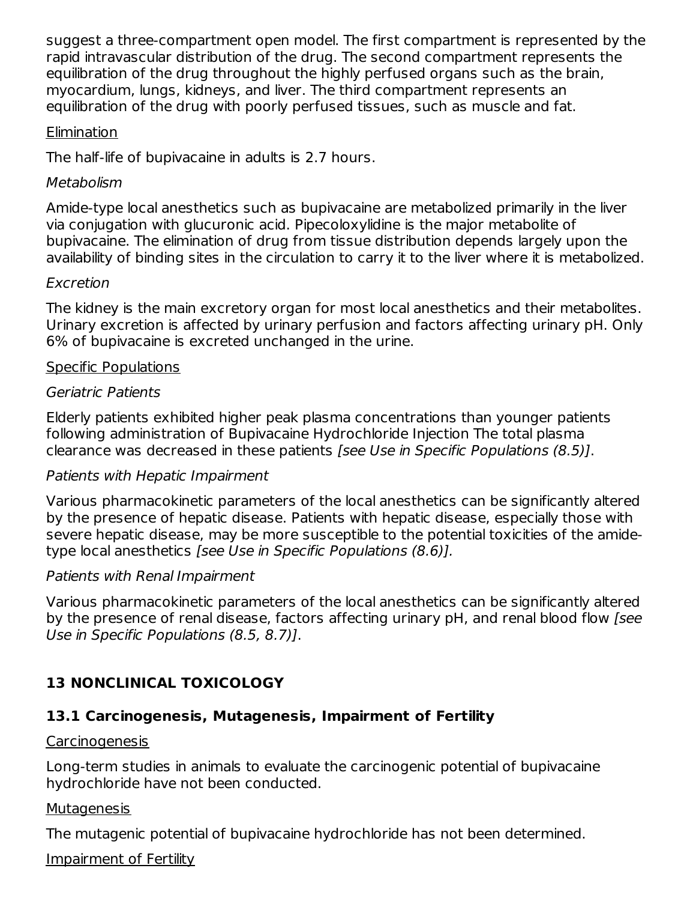suggest a three-compartment open model. The first compartment is represented by the rapid intravascular distribution of the drug. The second compartment represents the equilibration of the drug throughout the highly perfused organs such as the brain, myocardium, lungs, kidneys, and liver. The third compartment represents an equilibration of the drug with poorly perfused tissues, such as muscle and fat.

#### Elimination

The half-life of bupivacaine in adults is 2.7 hours.

#### Metabolism

Amide-type local anesthetics such as bupivacaine are metabolized primarily in the liver via conjugation with glucuronic acid. Pipecoloxylidine is the major metabolite of bupivacaine. The elimination of drug from tissue distribution depends largely upon the availability of binding sites in the circulation to carry it to the liver where it is metabolized.

#### Excretion

The kidney is the main excretory organ for most local anesthetics and their metabolites. Urinary excretion is affected by urinary perfusion and factors affecting urinary pH. Only 6% of bupivacaine is excreted unchanged in the urine.

#### Specific Populations

#### Geriatric Patients

Elderly patients exhibited higher peak plasma concentrations than younger patients following administration of Bupivacaine Hydrochloride Injection The total plasma clearance was decreased in these patients [see Use in Specific Populations (8.5)].

#### Patients with Hepatic Impairment

Various pharmacokinetic parameters of the local anesthetics can be significantly altered by the presence of hepatic disease. Patients with hepatic disease, especially those with severe hepatic disease, may be more susceptible to the potential toxicities of the amidetype local anesthetics [see Use in Specific Populations (8.6)].

#### Patients with Renal Impairment

Various pharmacokinetic parameters of the local anesthetics can be significantly altered by the presence of renal disease, factors affecting urinary pH, and renal blood flow [see Use in Specific Populations (8.5, 8.7)].

### **13 NONCLINICAL TOXICOLOGY**

## **13.1 Carcinogenesis, Mutagenesis, Impairment of Fertility**

### Carcinogenesis

Long-term studies in animals to evaluate the carcinogenic potential of bupivacaine hydrochloride have not been conducted.

### **Mutagenesis**

The mutagenic potential of bupivacaine hydrochloride has not been determined.

Impairment of Fertility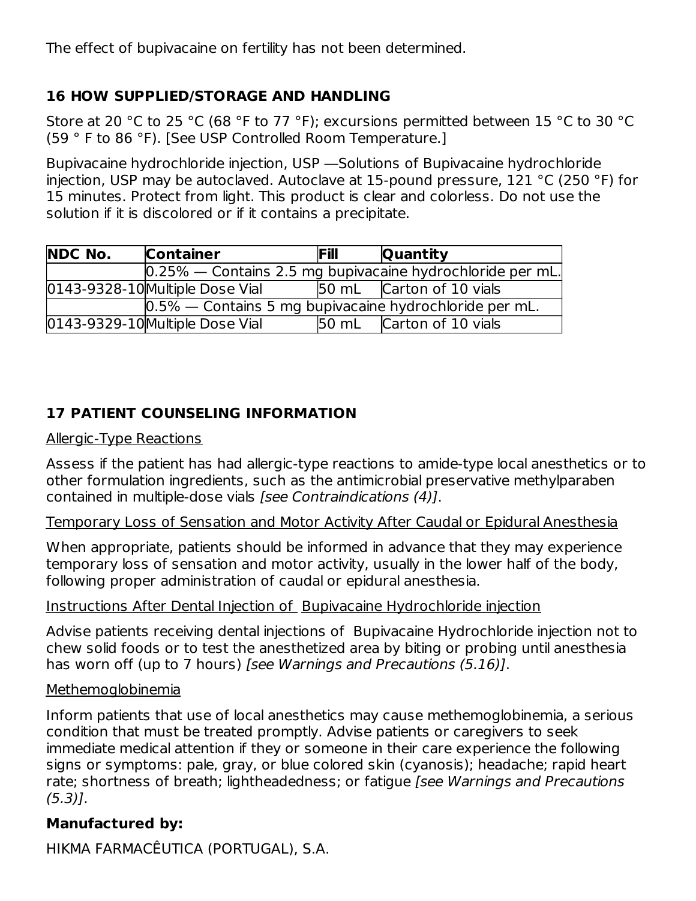The effect of bupivacaine on fertility has not been determined.

### **16 HOW SUPPLIED/STORAGE AND HANDLING**

Store at 20 °C to 25 °C (68 °F to 77 °F); excursions permitted between 15 °C to 30 °C (59 ° F to 86 °F). [See USP Controlled Room Temperature.]

Bupivacaine hydrochloride injection, USP ―Solutions of Bupivacaine hydrochloride injection, USP may be autoclaved. Autoclave at 15-pound pressure, 121 °C (250 °F) for 15 minutes. Protect from light. This product is clear and colorless. Do not use the solution if it is discolored or if it contains a precipitate.

| <b>NDC No.</b> | <b>Container</b>                                          | <b>Fill</b>  | Quantity                                                      |
|----------------|-----------------------------------------------------------|--------------|---------------------------------------------------------------|
|                |                                                           |              | $[0.25\%$ — Contains 2.5 mg bupivacaine hydrochloride per mL. |
|                | 0143-9328-10 Multiple Dose Vial                           |              | 50 mL Carton of 10 vials                                      |
|                | $0.5\%$ — Contains 5 mg bupivacaine hydrochloride per mL. |              |                                                               |
|                | 0143-9329-10 Multiple Dose Vial                           | <b>50 mL</b> | Carton of 10 vials                                            |

### **17 PATIENT COUNSELING INFORMATION**

#### Allergic-Type Reactions

Assess if the patient has had allergic-type reactions to amide-type local anesthetics or to other formulation ingredients, such as the antimicrobial preservative methylparaben contained in multiple-dose vials [see Contraindications (4)].

#### Temporary Loss of Sensation and Motor Activity After Caudal or Epidural Anesthesia

When appropriate, patients should be informed in advance that they may experience temporary loss of sensation and motor activity, usually in the lower half of the body, following proper administration of caudal or epidural anesthesia.

#### Instructions After Dental Injection of Bupivacaine Hydrochloride injection

Advise patients receiving dental injections of Bupivacaine Hydrochloride injection not to chew solid foods or to test the anesthetized area by biting or probing until anesthesia has worn off (up to 7 hours) [see Warnings and Precautions (5.16)].

#### Methemoglobinemia

Inform patients that use of local anesthetics may cause methemoglobinemia, a serious condition that must be treated promptly. Advise patients or caregivers to seek immediate medical attention if they or someone in their care experience the following signs or symptoms: pale, gray, or blue colored skin (cyanosis); headache; rapid heart rate; shortness of breath; lightheadedness; or fatigue [see Warnings and Precautions (5.3)].

#### **Manufactured by:**

HIKMA FARMACÊUTICA (PORTUGAL), S.A.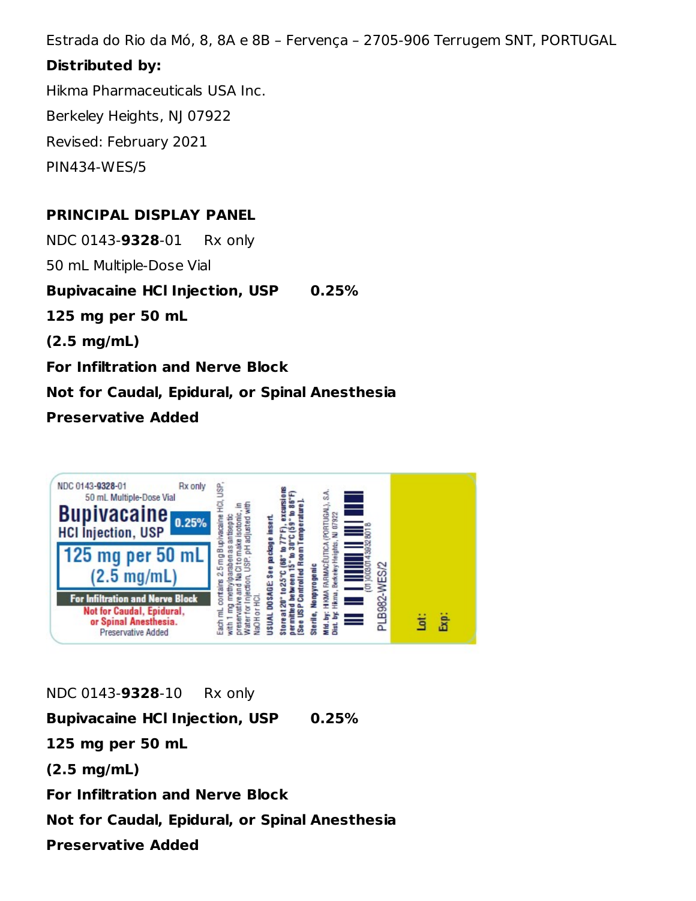Estrada do Rio da Mó, 8, 8A e 8B – Fervença – 2705-906 Terrugem SNT, PORTUGAL

#### **Distributed by:**

Hikma Pharmaceuticals USA Inc. Berkeley Heights, NJ 07922 Revised: February 2021 PIN434-WES/5

### **PRINCIPAL DISPLAY PANEL**

NDC 0143-**9328**-01 Rx only

50 mL Multiple-Dose Vial

**Bupivacaine HCl Injection, USP 0.25%**

**125 mg per 50 mL**

**(2.5 mg/mL)**

**For Infiltration and Nerve Block**

**Not for Caudal, Epidural, or Spinal Anesthesia**

#### **Preservative Added**



NDC 0143-**9328**-10 Rx only **Bupivacaine HCl Injection, USP 0.25% 125 mg per 50 mL (2.5 mg/mL) For Infiltration and Nerve Block Not for Caudal, Epidural, or Spinal Anesthesia**

**Preservative Added**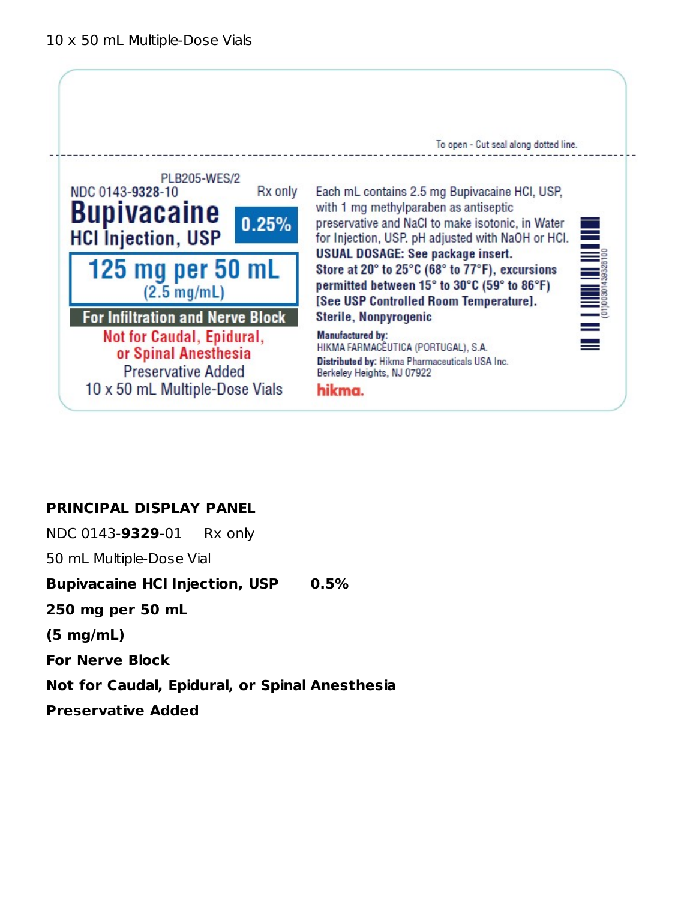

### **PRINCIPAL DISPLAY PANEL**

NDC 0143-**9329**-01 Rx only

50 mL Multiple-Dose Vial

**Bupivacaine HCl Injection, USP 0.5%**

**250 mg per 50 mL**

**(5 mg/mL)**

**For Nerve Block**

**Not for Caudal, Epidural, or Spinal Anesthesia**

**Preservative Added**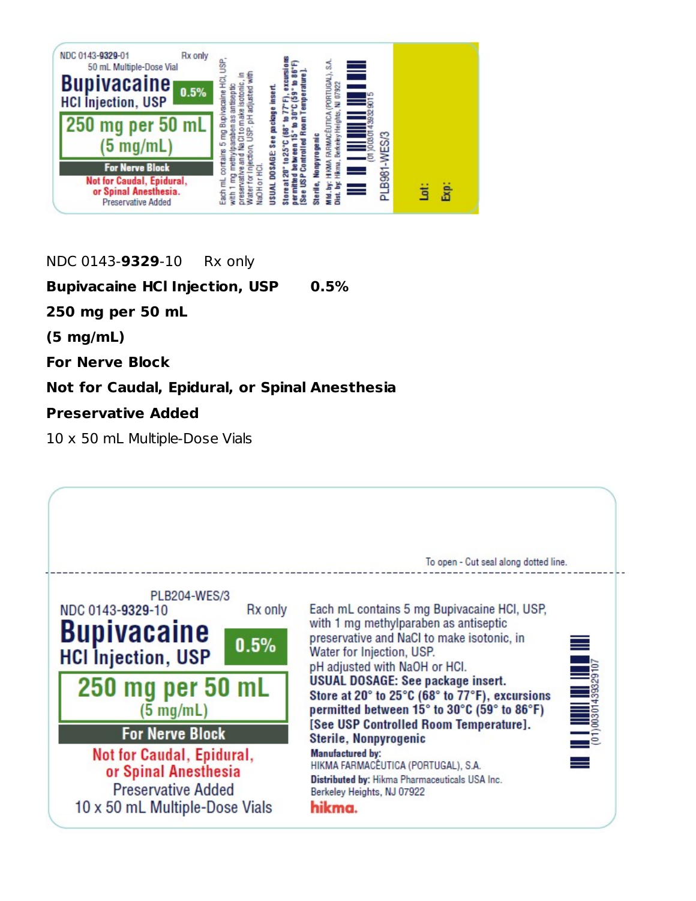

NDC 0143-**9329**-10 Rx only

**Bupivacaine HCl Injection, USP 0.5%**

**250 mg per 50 mL**

**(5 mg/mL)**

**For Nerve Block**

#### **Not for Caudal, Epidural, or Spinal Anesthesia**

### **Preservative Added**

10 x 50 mL Multiple-Dose Vials

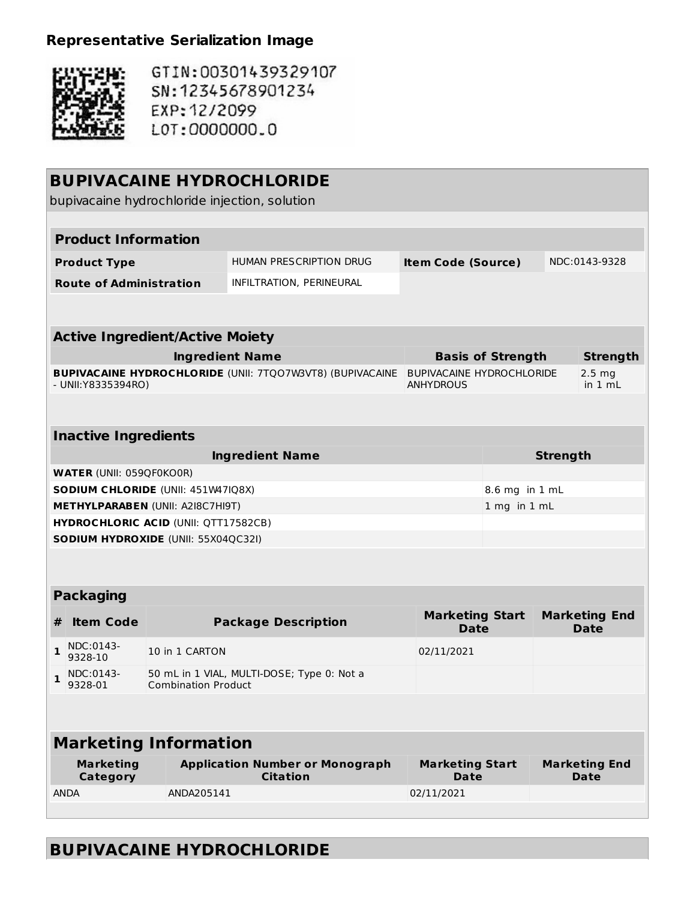## **Representative Serialization Image**



GTIN:00301439329107 SN: 12345678901234 EXP: 12/2099 L0T:0000000.0

| <b>BUPIVACAINE HYDROCHLORIDE</b><br>bupivacaine hydrochloride injection, solution |                                 |                                             |                                                                  |                                                      |                          |                 |                                        |  |  |
|-----------------------------------------------------------------------------------|---------------------------------|---------------------------------------------|------------------------------------------------------------------|------------------------------------------------------|--------------------------|-----------------|----------------------------------------|--|--|
|                                                                                   |                                 |                                             |                                                                  |                                                      |                          |                 |                                        |  |  |
|                                                                                   | <b>Product Information</b>      |                                             |                                                                  |                                                      |                          |                 |                                        |  |  |
|                                                                                   | <b>Product Type</b>             |                                             | HUMAN PRESCRIPTION DRUG                                          | <b>Item Code (Source)</b>                            |                          |                 | NDC:0143-9328                          |  |  |
|                                                                                   | <b>Route of Administration</b>  |                                             | INFILTRATION, PERINEURAL                                         |                                                      |                          |                 |                                        |  |  |
|                                                                                   |                                 |                                             |                                                                  |                                                      |                          |                 |                                        |  |  |
|                                                                                   |                                 | <b>Active Ingredient/Active Moiety</b>      |                                                                  |                                                      |                          |                 |                                        |  |  |
|                                                                                   |                                 |                                             | <b>Ingredient Name</b>                                           |                                                      | <b>Basis of Strength</b> |                 | <b>Strength</b>                        |  |  |
|                                                                                   | - UNII:Y8335394RO)              |                                             | <b>BUPIVACAINE HYDROCHLORIDE (UNII: 7TQO7W3VT8) (BUPIVACAINE</b> | <b>BUPIVACAINE HYDROCHLORIDE</b><br><b>ANHYDROUS</b> |                          |                 | 2.5 <sub>mg</sub><br>in $1 \text{ mL}$ |  |  |
|                                                                                   |                                 |                                             |                                                                  |                                                      |                          |                 |                                        |  |  |
|                                                                                   | <b>Inactive Ingredients</b>     |                                             |                                                                  |                                                      |                          |                 |                                        |  |  |
|                                                                                   |                                 |                                             | <b>Ingredient Name</b>                                           |                                                      |                          | <b>Strength</b> |                                        |  |  |
|                                                                                   | <b>WATER (UNII: 059QF0KO0R)</b> |                                             |                                                                  |                                                      |                          |                 |                                        |  |  |
|                                                                                   |                                 | SODIUM CHLORIDE (UNII: 451W47IQ8X)          |                                                                  |                                                      | 8.6 mg in 1 mL           |                 |                                        |  |  |
|                                                                                   |                                 | <b>METHYLPARABEN (UNII: A2I8C7HI9T)</b>     |                                                                  |                                                      | 1 mg in 1 mL             |                 |                                        |  |  |
|                                                                                   |                                 | <b>HYDROCHLORIC ACID (UNII: QTT17582CB)</b> |                                                                  |                                                      |                          |                 |                                        |  |  |
|                                                                                   |                                 | <b>SODIUM HYDROXIDE (UNII: 55X04QC32I)</b>  |                                                                  |                                                      |                          |                 |                                        |  |  |
|                                                                                   |                                 |                                             |                                                                  |                                                      |                          |                 |                                        |  |  |
|                                                                                   | <b>Packaging</b>                |                                             |                                                                  |                                                      |                          |                 |                                        |  |  |
| #                                                                                 | <b>Item Code</b>                |                                             | <b>Package Description</b>                                       | <b>Marketing Start</b><br><b>Date</b>                |                          |                 | <b>Marketing End</b><br><b>Date</b>    |  |  |
| 1                                                                                 | NDC:0143-<br>9328-10            | 10 in 1 CARTON                              |                                                                  | 02/11/2021                                           |                          |                 |                                        |  |  |
|                                                                                   | $\frac{NDC:0143}{2}$<br>9328-01 | <b>Combination Product</b>                  | 50 mL in 1 VIAL, MULTI-DOSE; Type 0: Not a                       |                                                      |                          |                 |                                        |  |  |
|                                                                                   |                                 |                                             |                                                                  |                                                      |                          |                 |                                        |  |  |
|                                                                                   |                                 | <b>Marketing Information</b>                |                                                                  |                                                      |                          |                 |                                        |  |  |
|                                                                                   | <b>Marketing</b><br>Category    |                                             | <b>Application Number or Monograph</b><br><b>Citation</b>        | <b>Marketing Start</b><br><b>Date</b>                |                          |                 | <b>Marketing End</b><br>Date           |  |  |
|                                                                                   | <b>ANDA</b>                     | ANDA205141                                  |                                                                  | 02/11/2021                                           |                          |                 |                                        |  |  |
|                                                                                   |                                 |                                             |                                                                  |                                                      |                          |                 |                                        |  |  |

# **BUPIVACAINE HYDROCHLORIDE**